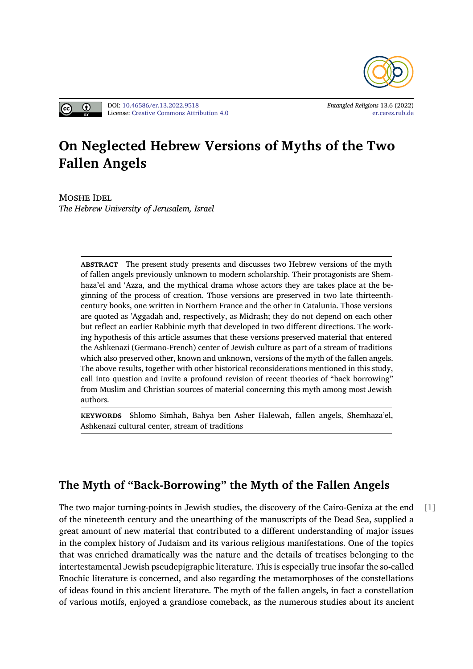



# **On Negle[cted Hebrew](https://doi.org/10.46586/er.13.2022.9518) [Vers](http://creativecommons.org/licenses/by/4.0/)ions of Myths of the [Two](https://er.ceres.rub.de/) Fallen Angels**

MOSHE IDEL *The Hebrew University of Jerusalem, Israel*

> **ABSTRACT** The present study presents and discusses two Hebrew versions of the myth of fallen angels previously unknown to modern scholarship. Their protagonists are Shemhaza'el and 'Azza, and the mythical drama whose actors they are takes place at the beginning of the process of creation. Those versions are preserved in two late thirteenthcentury books, one written in Northern France and the other in Catalunia. Those versions are quoted as 'Aggadah and, respectively, as Midrash; they do not depend on each other but reflect an earlier Rabbinic myth that developed in two different directions. The working hypothesis of this article assumes that these versions preserved material that entered the Ashkenazi (Germano-French) center of Jewish culture as part of a stream of traditions which also preserved other, known and unknown, versions of the myth of the fallen angels. The above results, together with other historical reconsiderations mentioned in this study, call into question and invite a profound revision of recent theories of "back borrowing" from Muslim and Christian sources of material concerning this myth among most Jewish authors.

> **KEYWORDS** Shlomo Simhah, Bahya ben Asher Halewah, fallen angels, Shemhaza'el, Ashkenazi cultural center, stream of traditions

## **The Myth of "Back-Borrowing" the Myth of the Fallen Angels**

The two major turning-points in Jewish studies, the discovery of the Cairo-Geniza at the end [1] of the nineteenth century and the unearthing of the manuscripts of the Dead Sea, supplied a great amount of new material that contributed to a different understanding of major issues in the complex history of Judaism and its various religious manifestations. One of the topics that was enriched dramatically was the nature and the details of treatises belonging to the intertestamental Jewish pseudepigraphic literature. This is especially true insofar the so-called Enochic literature is concerned, and also regarding the metamorphoses of the constellations of ideas found in this ancient literature. The myth of the fallen angels, in fact a constellation of various motifs, enjoyed a grandiose comeback, as the numerous studies about its ancient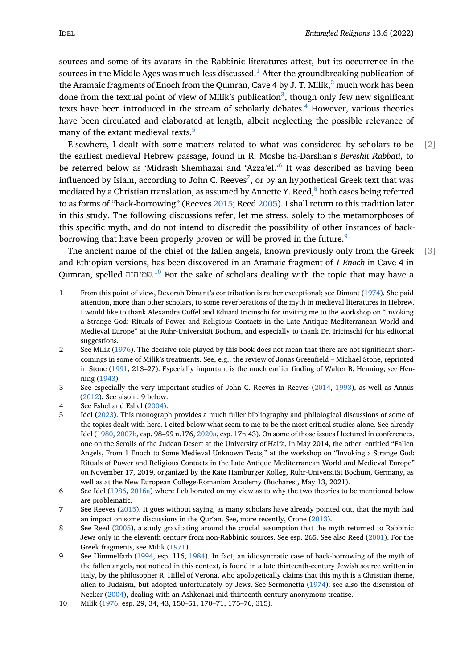sources and some of its avatars in the Rabbinic literatures attest, but its occurrence in the sources in the Middle Ages was much less discussed.<sup>1</sup> After the groundbreaking publication of the Aramaic fragments of Enoch from the Qumran, Cave 4 by J. T. Milik, $^2$  much work has been done from the textual point of view of Milik's publication<sup>3</sup>, though only few new significant texts have been introduced in the stream of schol[ar](#page-1-0)ly debates.<sup>4</sup> However, various theories have been circulated and elaborated at length, albeit neglecting the [p](#page-1-1)ossible relevance of many of the extant medieval texts.<sup>5</sup>

Elsewhere, I dealt with some matters related to what was [co](#page-1-2)nsidered by scholars to be [2] the earliest medieval Hebrew passage, found in R. Moshe ha-Darshan's *Bereshit Rabbati*, to be referred below as 'Midrash Sh[em](#page-1-3)hazai and 'Azza'el.'<sup>6</sup> It was described as having been influenced by Islam, according to John C. Reeves ${}^{7}$ , or by an hypothetical Greek text that was mediated by a Christian translation, as assumed by Annette Y. Reed, $8$  both cases being referred to as forms of "back-borrowing" (Reeves 2015; Reed 2005[\).](#page-1-4) I shall return to this tradition later in this study. The following discussions refer, le[t](#page-1-5) me stress, solely to the metamorphoses of this specific myth, and do not intend to discredit the possibility [of](#page-1-6) other instances of backborrowing that have been properly prov[en or](#page-19-0) will b[e pro](#page-18-0)ved in the future.<sup>9</sup>

The ancient name of the chief of the fallen angels, known previously only from the Greek [3] and Ethiopian versions, has been discovered in an Aramaic fragment of *1 Enoch* in Cave 4 in Qumran, spelled שמיחזה. <sup>10</sup> For the sake of scholars dealing with the topi[c](#page-1-7) that may have a

4 See Eshel [and E](#page-19-1)shel (2004).

**<sup>1</sup>** From this point of view, Devorah Dimant's contribution is rather exceptional; see Dimant (1974). She paid attention, more than other scholars, to some reverberations of the myth in medieval literatures in Hebrew. I would like to thank A[lex](#page-1-8)andra Cuffel and Eduard Iricinschi for inviting me to the workshop on "Invoking a Strange God: Rituals of Power and Religious Contacts in the Late Antique Mediterranean World and Medieval Europe" at the Ruhr-Universität Bochum, and especially to thank Dr. Iricinschi [for hi](#page-14-0)s editorial suggestions.

<span id="page-1-0"></span><sup>2</sup> See Milik (1976). The decisive role played by this book does not mean that there are not significant shortcomings in some of Milik's treatments. See, e.g., the review of Jonas Greenfield – Michael Stone, reprinted in Stone (1991, 213–27). Especially important is the much earlier finding of Walter B. Henning; see Henning (1943).

<span id="page-1-1"></span><sup>3</sup> See especi[ally th](#page-18-1)e very important studies of John C. Reeves in Reeves (2014, 1993), as well as Annus (2012). See also n. 9 below.

<span id="page-1-3"></span><span id="page-1-2"></span><sup>5</sup> Idel ([2023\)](#page-15-0). This monograph provides a much fuller bibliography and philological discussions of some of the topics dealt with here. I cited below what seem to me to be the most c[ritical](#page-19-2) [studie](#page-19-3)s alone. See already [Idel \(1](#page-14-1)980, 2007b, esp. 98–99 n.176, 2020a, esp. 17n.43). On some of those issues I lectured in conferences, one on the Scrolls of [the Ju](#page-14-2)dean Desert at the University of Haifa, in May 2014, the other, entitled "Fallen Ange[ls, Fro](#page-17-0)m 1 Enoch to Some Medieval Unknown Texts," at the workshop on "Invoking a Strange God: Rituals of Power and Religious Contacts in the Late Antique Mediterranean World and Medieval Europe" on N[ovem](#page-15-1)[ber 17,](#page-16-0) 2019, organized b[y the Kä](#page-17-1)te Hamburger Kolleg, Ruhr-Universität Bochum, Germany, as well as at the New European College-Romanian Academy (Bucharest, May 13, 2021).

<sup>6</sup> See Idel (1986, 2016a) where I elaborated on my view as to why the two theories to be mentioned below are problematic.

<sup>7</sup> See Reeves (2015). It goes without saying, as many scholars have already pointed out, that the myth had an impact on some discussions in the Qur'an. See, more recently, Crone (2013).

<span id="page-1-4"></span><sup>8</sup> See Reed [\(200](#page-16-1)[5\), a stu](#page-16-2)dy gravitating around the crucial assumption that the myth returned to Rabbinic Jews only in the eleventh century from non-Rabbinic sources. See esp. 265. See also Reed (2001). For the Greek fragm[ents,](#page-19-0) see Milik (1971).

<span id="page-1-6"></span><span id="page-1-5"></span><sup>9</sup> See Himmelfarb (1994, esp. 116, 1984). In fact, an idiosyncratic case o[f back](#page-14-3)-borrowing of the myth of the fallen [angels](#page-18-0), not noticed in this context, is found in a late thirteenth-century Jewish source written in Italy, by the philosopher R. Hillel of Verona, who apologetically claims that this myth is a C[hristia](#page-18-2)n theme, alien to Judaism, but adopt[ed un](#page-18-3)fortunately by Jews. See Sermonetta (1974); see also the discussion of Necker (2004), d[ealing](#page-15-2) with an A[shkena](#page-15-3)zi mid-thirteenth century anonymous treatise.

<span id="page-1-8"></span><span id="page-1-7"></span><sup>10</sup> Milik (1976, esp. 29, 34, 43, 150–51, 170–71, 175–76, 315).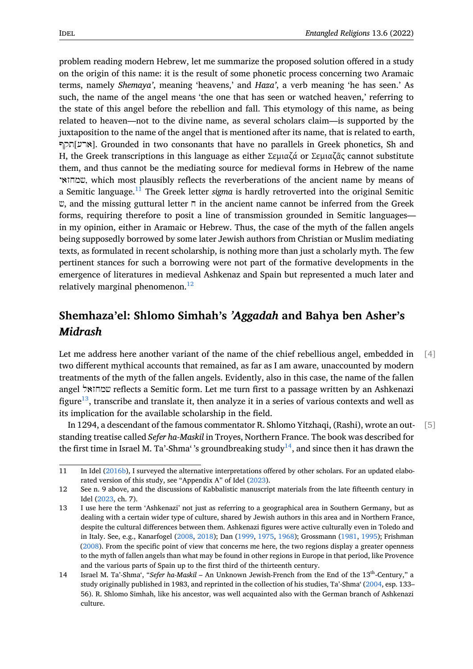problem reading modern Hebrew, let me summarize the proposed solution offered in a study on the origin of this name: it is the result of some phonetic process concerning two Aramaic terms, namely *Shemaya'*, meaning 'heavens,' and *Haza'*, a verb meaning 'he has seen.' As such, the name of the angel means 'the one that has seen or watched heaven,' referring to the state of this angel before the rebellion and fall. This etymology of this name, as being related to heaven—not to the divine name, as several scholars claim—is supported by the juxtaposition to the name of the angel that is mentioned after its name, that is related to earth, ארע]תקף. Grounded in two consonants that have no parallels in Greek phonetics, Sh and H, the Greek transcriptions in this language as either Σεμιαζά or Σεμιαζᾶς cannot substitute them, and thus cannot be the mediating source for medieval forms in Hebrew of the name שמחזאי, which most plausibly reflects the reverberations of the ancient name by means of a Semitic language.<sup>11</sup> The Greek letter *sigma* is hardly retroverted into the original Semitic  $\mathfrak{v}$ , and the missing guttural letter  $\pi$  in the ancient name cannot be inferred from the Greek forms, requiring therefore to posit a line of transmission grounded in Semitic languages in my opinion, eith[er](#page-2-0) in Aramaic or Hebrew. Thus, the case of the myth of the fallen angels being supposedly borrowed by some later Jewish authors from Christian or Muslim mediating texts, as formulated in recent scholarship, is nothing more than just a scholarly myth. The few pertinent stances for such a borrowing were not part of the formative developments in the emergence of literatures in medieval Ashkenaz and Spain but represented a much later and relatively marginal phenomenon.<sup>12</sup>

## **Shemhaza'el: Shlomo S[im](#page-2-1)hah's** *'Aggadah* **and Bahya ben Asher's** *Midrash*

Let me address here another variant of the name of the chief rebellious angel, embedded in [4] two different mythical accounts that remained, as far as I am aware, unaccounted by modern treatments of the myth of the fallen angels. Evidently, also in this case, the name of the fallen angel שמחזאל reflects a Semitic form. Let me turn first to a passage written by an Ashkenazi figure<sup>13</sup>, transcribe and translate it, then analyze it in a series of various contexts and well as its implication for the available scholarship in the field.

In 1294, a descendant of the famous commentator R. Shlomo Yitzhaqi, (Rashi), wrote an out- [5] stand[ing](#page-2-2) treatise called *Sefer ha-Maskil* in Troyes, Northern France. The book was described for the first time in Israel M. Ta'-Shma''s groundbreaking study<sup>14</sup>, and since then it has drawn the

<sup>11</sup> In Idel (2016b), I surveyed the alternative interpretations offered by other scholars. For an updated elaborated version of this study, see "Appendix A" of Idel (2023).

<sup>12</sup> See n. 9 above, and the discussions of Kabbalistic manuscript m[ate](#page-2-3)rials from the late fifteenth century in Idel (2023, ch. 7).

<span id="page-2-1"></span><span id="page-2-0"></span><sup>13</sup> I use h[ere the](#page-17-2) term 'Ashkenazi' not just as referring to a geographical area in Southern Germany, but as dealing with a certain wider type of culture, shared b[y Jewi](#page-17-0)sh authors in this area and in Northern France, despite the cultural differences between them. Ashkenazi figures were active culturally even in Toledo and in Ita[ly. Se](#page-17-0)e, e.g., Kanarfogel (2008, 2018); Dan (1999, 1975, 1968); Grossmann (1981, 1995); Frishman (2008). From the specific point of view that concerns me here, the two regions display a greater openness to the myth of fallen angels than what may be found in other regions in Europe in that period, like Provence and the various parts of Spain up to the first third of the thirteenth century.

<span id="page-2-3"></span><span id="page-2-2"></span><sup>14</sup> Israel M. Ta'-Shma', "*Sefer ha-[Maski](#page-17-3)l* [– An](#page-17-4) Unkno[wn Je](#page-14-4)[wish-F](#page-14-5)[rench](#page-14-6) from the End [of the](#page-15-4) [13](#page-15-5)th-Century," a [study](#page-15-6) originally published in 1983, and reprinted in the collection of his studies, Ta'-Shma' (2004, esp. 133– 56). R. Shlomo Simhah, like his ancestor, was well acquainted also with the German branch of Ashkenazi culture.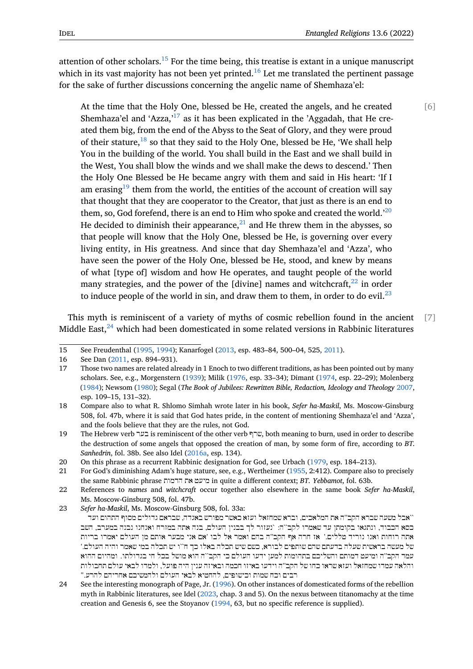attention of other scholars.<sup>15</sup> For the time being, this treatise is extant in a unique manuscript which in its vast majority has not been yet printed.<sup>16</sup> Let me translated the pertinent passage for the sake of further discussions concerning the angelic name of Shemhaza'el:

At the time that the [Ho](#page-3-0)ly One, blessed be H[e, c](#page-3-1)reated the angels, and he created [6] Shemhaza'el and 'Azza, $17$  as it has been explicated in the 'Aggadah, that He created them big, from the end of the Abyss to the Seat of Glory, and they were proud of their stature,  $18$  so that they said to the Holy One, blessed be He, 'We shall help You in the building of t[he](#page-3-2) world. You shall build in the East and we shall build in the West, You shall blow the winds and we shall make the dews to descend.' Then the Holy One [Ble](#page-3-3)ssed be He became angry with them and said in His heart: 'If I am erasing<sup>19</sup> them from the world, the entities of the account of creation will say that thought that they are cooperator to the Creator, that just as there is an end to them, so, God forefend, there is an end to Him who spoke and created the world.<sup>'20</sup> He decide[d to](#page-3-4) diminish their appearance, $^{21}$  and He threw them in the abysses, so that people will know that the Holy One, blessed be He, is governing over every living entity, in His greatness. And since that day Shemhaza'el and 'Azza', w[ho](#page-3-5) have seen the power of the Holy One, bl[ess](#page-3-6)ed be He, stood, and knew by means of what [type of] wisdom and how He operates, and taught people of the world many strategies, and the power of the [divine] names and witchcraft, $^{22}$  in order to induce people of the world in sin, and draw them to them, in order to do evil. $^{23}$ 

This myth is reminiscent of a variety of myths of cosmic rebellion foun[d](#page-3-7) in the ancient [7] Middle East, $^{24}$  which had been domesticated in some related versions in Rabbinic lit[era](#page-3-8)tures

23 *Sefer ha-Maskil*, Ms. Moscow-Ginsburg 508, fol. 33a:

<span id="page-3-9"></span>24 See the interesting monograph of Page, Jr. (1996). On other instances of domesticated forms of the rebellion myth in Rabbinic literatures, see Idel (2023, chap. 3 and 5). On the nexus between titanomachy at the time creation and Genesis 6, see the Stoyanov (1994, 63, but no specific reference is supplied).

<sup>15</sup> See Freudenthal (1995, 1994); Kanarfogel (2013, esp. 483–84, 500–04, 525, 2011).

<sup>16</sup> See Dan (2011, esp. 894–931).

<span id="page-3-0"></span><sup>17</sup> Those t[wo](#page-3-9) names are related already in 1 Enoch to two different traditions, as has been pointed out by many scholars. See, e.g., Morgenstern (1939); Milik (1976, esp. 33–34); Dimant (1974, esp. 22–29); Molenberg (1984); Newsom [\(1980](#page-15-7))[; Sega](#page-14-7)l (*The Book of [Jubile](#page-17-5)es: Rewritten Bible, Redactio[n, Ideo](#page-17-6)logy and Theology* 2007, esp. 109–[15, 13](#page-14-8)1–32).

<span id="page-3-2"></span><span id="page-3-1"></span><sup>18</sup> Compare also to what R. Shlomo Simhah wrote later in his book, *Sefer ha-Maskil*, Ms. Moscow-Ginsburg 508, fol. 47b, where it is said th[at God](#page-18-4) hates p[ride,](#page-18-1) in the content of ment[ioning](#page-14-0) Shemhaza'el and 'Azza', [and th](#page-18-5)e fools beli[eve th](#page-18-6)at they are the rules, not God.

<span id="page-3-3"></span><sup>19</sup> The Hebrew verb בער is reminiscent of the other verb שרף, both meaning to burn, used in order to de[scribe](#page-20-0) the destruction of some angels that opposed the creation of man, by some form of fire, according to *BT. Sanhedrin*, fol. 38b. See also Idel (2016a, esp. 134).

<sup>20</sup> On this phrase as a recurrent Rabbinic designation for God, see Urbach (1979, esp. 184–213).

<span id="page-3-4"></span><sup>21</sup> For God's diminishing Adam's huge stature, see, e.g., Wertheimer (1955, 2:412). Compare also to precisely the same Rabbinic phrase הדמות את מיעט in quite a different context; *BT. Yebbamot*, fol. 63b.

<sup>22</sup> References to *names* and *witchc[raft](#page-16-2)* [oc](#page-16-2)cur together also elsewhere in the same book *Sefer ha-Maskil*, Ms. Moscow-Ginsburg 508, fol. 47b.

<span id="page-3-8"></span><span id="page-3-7"></span><span id="page-3-6"></span><span id="page-3-5"></span><sup>``</sup>אבל משעה שברא הקב''ה את המלאכי[ם, ובר](#page-20-1)א שמחזאל ועזא כאשר מפורש באגדה, שבראם גדולים מסוף התהום ועד כסא הכבוד, ונתגאו בקומתן עד שאמרו לקב``ה: `נעזור לך בבנין העולם, בנה אתה במזרח ואנחנו נבנה במערב, השב אתה רוחות ואנו נוריד טללים.' אז חרה אף הקב''ה בהם ואמר אל לבו 'אם אני מבער אותם מן העולם יאמרו בריות של מעשה בראשית שעלה בדעתם שהם שותפים לבורא, כשם שיש תכלה באלו כך ח``ו יש תכלה במי שאמר והיה העולם.' עמד הקב''ה ומיעט דמותם והשליכם בתהומות למען ידעו העולם כי הקב``ה הוא מושל בכל חי בגדולתו. ומהיום ההוא והלאה עמדו שמחזאל ועזא שראו כחו של הקב''ה וידעו באיזו חכמה ובאיזה ענין היה פועל, ולמדו לבאי עולם תחבולות רבים וכח שמות וכישופים, להחטיא לבאי העולם ולהמשיכם אחריהם להרע."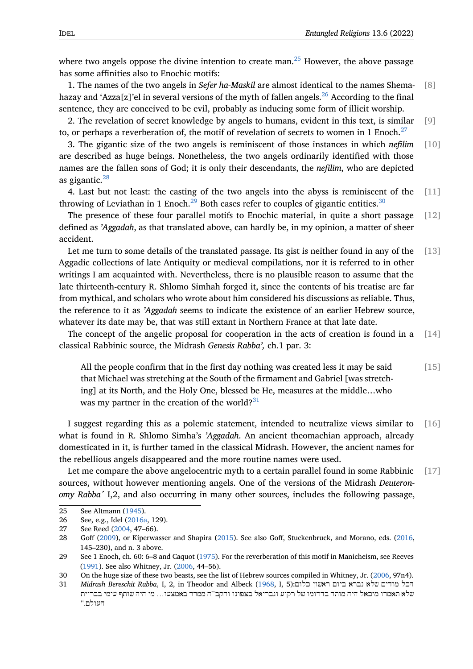where two angels oppose the divine intention to create man.<sup>25</sup> However, the above passage has some affinities also to Enochic motifs:

1. The names of the two angels in *Sefer ha-Maskil* are almost identical to the names Shema- [8] hazay [an](#page-4-0)d 'Azza[z]'el in several versions of the myth of fallen angels.<sup>26</sup> According to the final sentence, they are conceived to be evil, probably as inducing some form of illicit worship.

2. The revelation of secret knowledge by angels to humans, evident in this text, is similar [9] to, or perhaps a reverberation of, the motif of revelation of secrets t[o w](#page-4-1)omen in 1 Enoch.<sup>27</sup>

3. The gigantic size of the two angels is reminiscent of those instances in which *nefilim* [10] are described as huge beings. Nonetheless, the two angels ordinarily identified with those names are the fallen sons of God; it is only their descendants, the *nefilim*, who are depi[cte](#page-4-2)d as gigantic. $^{28}$ 

4. Last but not least: the casting of the two angels into the abyss is reminiscent of the [11] throwing of Leviathan in 1 Enoch.<sup>29</sup> Both cases refer to couples of gigantic entities.<sup>30</sup>

The pres[en](#page-4-3)ce of these four parallel motifs to Enochic material, in quite a short passage  $[12]$ defined as *'Aggadah*, as that translated above, can hardly be, in my opinion, a matter of sheer accident.

Let me turn to some details of the translated passage. Its gist is neither found in any of the [13] Aggadic collections of late Antiquity or medieval compilations, nor it is referred to in other writings I am acquainted with. Nevertheless, there is no plausible reason to assume that the late thirteenth-century R. Shlomo Simhah forged it, since the contents of his treatise are far from mythical, and scholars who wrote about him considered his discussions as reliable. Thus, the reference to it as *'Aggadah* seems to indicate the existence of an earlier Hebrew source, whatever its date may be, that was still extant in Northern France at that late date.

The concept of the angelic proposal for cooperation in the acts of creation is found in a [14] classical Rabbinic source, the Midrash *Genesis Rabba',* ch.1 par. 3:

All the people confirm that in the first day nothing was created less it may be said [15] that Michael was stretching at the South of the firmament and Gabriel [was stretching] at its North, and the Holy One, blessed be He, measures at the middle…who was my partner in the creation of the world? $31$ 

I suggest regarding this as a polemic statement, intended to neutralize views similar to [16] what is found in R. Shlomo Simha's *'Aggadah*. A[n a](#page-4-4)ncient theomachian approach, already domesticated in it, is further tamed in the classical Midrash. However, the ancient names for the rebellious angels disappeared and the more routine names were used.

Let me compare the above angelocentric myth to a certain parallel found in some Rabbinic  $\begin{bmatrix} 17 \end{bmatrix}$ sources, without however mentioning angels. One of the versions of the Midrash *Deuteronomy Rabba´* I,2, and also occurring in many other sources, includes the following passage,

<sup>25</sup> See Altmann (1945).

<sup>26</sup> See, e.g., Idel (2016a, 129).

<sup>27</sup> See Reed (2004, 47–66).

<span id="page-4-0"></span><sup>28</sup> Goff (2009), or Kiperwasser and Shapira (2015). See also Goff, Stuckenbruck, and Morano, eds. (2016, 145–230), an[d n. 3](#page-14-9) above.

<span id="page-4-2"></span><span id="page-4-1"></span><sup>29</sup> See 1 Enoch, c[h. 60: 6](#page-16-2) –8 and Caquot (1975). For the reverberation of this motif in Manicheism, see Reeves (1991). Se[e also](#page-18-7) Whitney, Jr. (2006, 44–56).

<span id="page-4-3"></span><sup>30</sup> On th[e huge](#page-15-8) size of these two beasts, see th[e list o](#page-17-7)f Hebrew sources compiled in Whitney, Jr. (2006, [97n4\).](#page-15-9)

<span id="page-4-4"></span><sup>31</sup> *Midrash Bereschit Rabba*, I, 2, in Theodor and Albeck (1968, I, 5):כלום ראשון ביום נברא שלא מודים הכל שלא תאמרו מיכאל היה מותח בדרומו של רקיע וגבריאל בצפונו והקב[``ה ממ](#page-14-10)דד באמצעו... מי היה שותף עימי בבריית ה[עולם.'](#page-18-8)'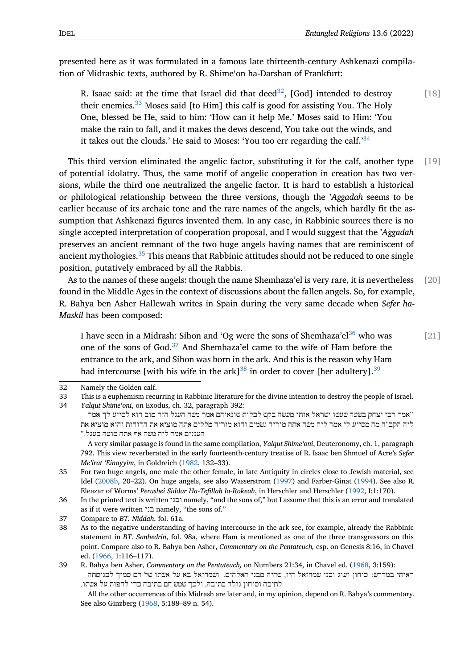presented here as it was formulated in a famous late thirteenth-century Ashkenazi compilation of Midrashic texts, authored by R. Shime'on ha-Darshan of Frankfurt:

R. Isaac said: at the time that Israel did that deed<sup>32</sup>, [God] intended to destroy [18] their enemies.<sup>33</sup> Moses said [to Him] this calf is good for assisting You. The Holy One, blessed be He, said to him: 'How can it help Me.' Moses said to Him: 'You make the rain to fall, and it makes the dews descen[d,](#page-5-0) You take out the winds, and it takes out th[e c](#page-5-1)louds.' He said to Moses: 'You too err regarding the calf.' $34$ 

This third version eliminated the angelic factor, substituting it for the calf, another type [19] of potential idolatry. Thus, the same motif of angelic cooperation in creation [h](#page-5-2)as two versions, while the third one neutralized the angelic factor. It is hard to establish a historical or philological relationship between the three versions, though the '*Aggadah* seems to be earlier because of its archaic tone and the rare names of the angels, which hardly fit the assumption that Ashkenazi figures invented them. In any case, in Rabbinic sources there is no single accepted interpretation of cooperation proposal, and I would suggest that the '*Aggadah* preserves an ancient remnant of the two huge angels having names that are reminiscent of ancient mythologies.<sup>35</sup> This means that Rabbinic attitudes should not be reduced to one single position, putatively embraced by all the Rabbis.

As to the names of these angels: though the name Shemhaza'el is very rare, it is nevertheless [20] found in the Middle [Ag](#page-5-3)es in the context of discussions about the fallen angels. So, for example, R. Bahya ben Asher Hallewah writes in Spain during the very same decade when *Sefer ha-Maskil* has been composed:

I have seen in a Midrash: Sihon and 'Og were the sons of Shemhaza'el<sup>36</sup> who was [21] one of the sons of God.<sup>37</sup> And Shemhaza'el came to the wife of Ham before the entrance to the ark, and Sihon was born in the ark. And this is the reason why Ham had intercourse [with his wife in the ark]<sup>38</sup> in order to cover [her ad[ulte](#page-5-4)ry].<sup>39</sup>

34 *Yalqut Shime'oni*, on Exodus, ch. 32, paragraph 39[2:](#page-5-5) ``אמר רבי [יצח](#page-5-6)ק בשעה שעשו ישראל אותו מעשה בקש לכלות שונאיהם אמר משה העגל הזה טוב הוא לסייע לך אמר ליה הקב''ה מה מסייע לי אמר ליה משה אתה מוריד גשמים והוא מוריד טללים אתה מוציא את הרוחות והוא מוציא את העננים אמר ליה משה אף אתה טועה בעגל."

<span id="page-5-2"></span><span id="page-5-1"></span><span id="page-5-0"></span>A very similar passage is found in the same compilation, *Yalqut Shime'oni*, Deuteronomy, ch. 1, paragraph 792. This view reverberated in the early fourteenth-century treatise of R. Isaac ben Shmuel of Acre's *Sefer Me'irat 'Einayyim*, in Goldreich (1982, 132–33).

35 For two huge angels, one male the other female, in late Antiquity in circles close to Jewish material, see Idel (2008b, 20–22). On huge angels, see also Wasserstrom (1997) and Farber-Ginat (1994). See also R. Eleazar of Worms' *Perushei Siddur Ha-Tefillah la-Rokeah*, in Herschler and Herschler (1992, I:1:170).

<span id="page-5-3"></span>36 In the printed text is written ובני [name](#page-15-10)ly, "and the sons of," but I assume that this is an error and translated as if it were written בני namely, "the sons of."

<sup>32</sup> Namely the Golden calf.

<sup>33</sup> This is a euphemism recurring in Rabbinic literature for the divine intention to destroy the people of Israel.

<sup>37</sup> Com[pare to](#page-16-3) *BT. Niddah*, fol. 61a.

<span id="page-5-4"></span><sup>38</sup> As to the negative understanding of having intercourse in th[e ark s](#page-20-2)ee, for example, [alrea](#page-15-11)[dy](#page-14-11) the Rabbinic statement in *BT. Sanhedrin*, fol. 98a, where Ham is mentioned as one of the three transgressors on this point. Compare also to R. Bahya ben Asher, *Commentary on the Pentateuch,* esp. on Genesis 8:16, in Chavel ed. (1966, 1:116–117).

<span id="page-5-5"></span><sup>39</sup> R. Bahya ben Asher, *Commentary on the Pentateuch,* on Numbers 21:34, in Chavel ed. (1968, 3:159): ראיתי במדרש: סיחון ועוג ובני שמחזאל היו, שהיה מבני האלהים. ושמחזאל בא על אשתו של חם סמוך לכניסתה לתיבה וסיחון נולד בתיבה, ולכך שמש חם בתיבה כדי לחפות על אשתו.

<span id="page-5-6"></span>Al[l the o](#page-14-12)ther occurrences of this Midrash are later and, in my opinion, depend on R. Bahya's commentary. See also Ginzberg (1968, 5:188–89 n. 54).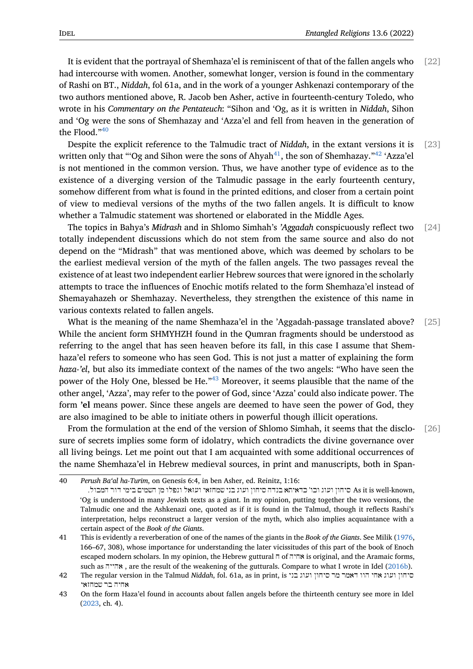It is evident that the portrayal of Shemhaza'el is reminiscent of that of the fallen angels who [22] had intercourse with women. Another, somewhat longer, version is found in the commentary of Rashi on BT., *Niddah*, fol 61a, and in the work of a younger Ashkenazi contemporary of the two authors mentioned above, R. Jacob ben Asher, active in fourteenth-century Toledo, who wrote in his *Commentary on the Pentateuch*: "Sihon and 'Og, as it is written in *Niddah*, Sihon and 'Og were the sons of Shemhazay and 'Azza'el and fell from heaven in the generation of the Flood."<sup>40</sup>

Despite the explicit reference to the Talmudic tract of *Niddah*, in the extant versions it is [23] written only that "'Og and Sihon were the sons of Ahyah<sup>41</sup>, the son of Shemhazay."<sup>42</sup> 'Azza'el is not men[tio](#page-6-0)ned in the common version. Thus, we have another type of evidence as to the existence of a diverging version of the Talmudic passage in the early fourteenth century, somehow different from what is found in the printed edi[tio](#page-6-1)ns, and closer from a ce[rta](#page-6-2)in point of view to medieval versions of the myths of the two fallen angels. It is difficult to know whether a Talmudic statement was shortened or elaborated in the Middle Ages.

The topics in Bahya's *Midrash* and in Shlomo Simhah's *'Aggadah* conspicuously reflect two [24] totally independent discussions which do not stem from the same source and also do not depend on the "Midrash" that was mentioned above, which was deemed by scholars to be the earliest medieval version of the myth of the fallen angels. The two passages reveal the existence of at least two independent earlier Hebrew sources that were ignored in the scholarly attempts to trace the influences of Enochic motifs related to the form Shemhaza'el instead of Shemayahazeh or Shemhazay. Nevertheless, they strengthen the existence of this name in various contexts related to fallen angels.

What is the meaning of the name Shemhaza'el in the 'Aggadah-passage translated above? [25] While the ancient form SHMYHZH found in the Qumran fragments should be understood as referring to the angel that has seen heaven before its fall, in this case I assume that Shemhaza'el refers to someone who has seen God. This is not just a matter of explaining the form *haza-'el*, but also its immediate context of the names of the two angels: "Who have seen the power of the Holy One, blessed be He."<sup>43</sup> Moreover, it seems plausible that the name of the other angel, 'Azza', may refer to the power of God, since 'Azza' could also indicate power. The form **'el** means power. Since these angels are deemed to have seen the power of God, they are also imagined to be able to initiate [oth](#page-6-3)ers in powerful though illicit operations.

From the formulation at the end of the version of Shlomo Simhah, it seems that the disclo- [26] sure of secrets implies some form of idolatry, which contradicts the divine governance over all living beings. Let me point out that I am acquainted with some additional occurrences of the name Shemhaza'el in Hebrew medieval sources, in print and manuscripts, both in Span-

<sup>40</sup> *Perush Ba'al ha-Turim*, on Genesis 6:4, in ben Asher, ed. Reinitz, 1:16:

<span id="page-6-0"></span><sup>,</sup>known-well is it As סיחון ועוג וכו' כדאיתא בנדה סיחון ועוג בני שמחזאי ועזאל ונפלו מן השמים בימי דור המבול. 'Og is understood in many Jewish texts as a giant. In my opinion, putting together the two versions, the Talmudic one and the Ashkenazi one, quoted as if it is found in the Talmud, though it reflects Rashi's interpretation, helps reconstruct a larger version of the myth, which also implies acquaintance with a certain aspect of the *Book of the Giants*.

<sup>41</sup> This is evidently a reverberation of one of the names of the giants in the *Book of the Giants*. See Milik (1976, 166–67, 308), whose importance for understanding the later vicissitudes of this part of the book of Enoch escaped modern scholars. In my opinion, the Hebrew guttural ח of אחיה is original, and the Aramaic forms, such as אהייה , are the result of the weakening of the gutturals. Compare to what I wrote in Idel (2016b).

<span id="page-6-1"></span><sup>42</sup> The regular version in the Talmud *Niddah*, fol. 61a, as in print, is בני ועוג סיחון מר דאמר הוו אחי ועוג [סיחון](#page-18-1) אחיה בר שמחזאי

<span id="page-6-3"></span><span id="page-6-2"></span><sup>43</sup> On the form Haza'el found in accounts about fallen angels before the thirteenth century see more in Idel (2023, ch. 4).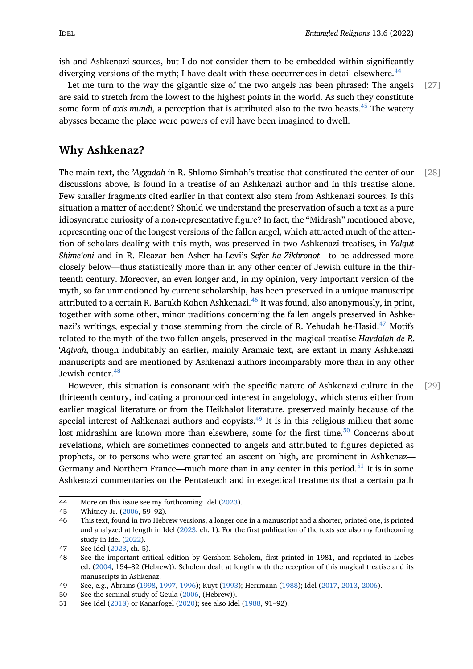ish and Ashkenazi sources, but I do not consider them to be embedded within significantly diverging versions of the myth; I have dealt with these occurrences in detail elsewhere.<sup>44</sup>

Let me turn to the way the gigantic size of the two angels has been phrased: The angels [27] are said to stretch from the lowest to the highest points in the world. As such they constitute some form of *axis mundi*, a perception th[at](#page-7-0) is attributed also to the two beasts.<sup>45</sup> The watery abysses became the place were powers of evil have been imagined to dwell.

#### **Why Ashkenaz?**

The main text, the *'Aggadah* in R. Shlomo Simhah's treatise that constituted the center of our [28] discussions above, is found in a treatise of an Ashkenazi author and in this treatise alone. Few smaller fragments cited earlier in that context also stem from Ashkenazi sources. Is this situation a matter of accident? Should we understand the preservation of such a text as a pure idiosyncratic curiosity of a non-representative figure? In fact, the "Midrash" mentioned above, representing one of the longest versions of the fallen angel, which attracted much of the attention of scholars dealing with this myth, was preserved in two Ashkenazi treatises, in *Yalqut Shime'oni* and in R. Eleazar ben Asher ha-Levi's *Sefer ha-Zikhronot*—to be addressed more closely below—thus statistically more than in any other center of Jewish culture in the thirteenth century. Moreover, an even longer and, in my opinion, very important version of the myth, so far unmentioned by current scholarship, has been preserved in a unique manuscript attributed to a certain R. Barukh Kohen Ashkenazi.<sup>46</sup> It was found, also anonymously, in print, together with some other, minor traditions concerning the fallen angels preserved in Ashkenazi's writings, especially those stemming from the circle of R. Yehudah he-Hasid.<sup>47</sup> Motifs related to the myth of the two fallen angels, prese[rv](#page-7-1)ed in the magical treatise *Havdalah de-R. 'Aqivah*, though indubitably an earlier, mainly Aramaic text, are extant in many Ashkenazi manuscripts and are mentioned by Ashkenazi authors incomparably more than in [an](#page-7-2)y other Jewish center.<sup>48</sup>

However, this situation is consonant with the specific nature of Ashkenazi culture in the [29] thirteenth century, indicating a pronounced interest in angelology, which stems either from earlier magic[al l](#page-7-3)iterature or from the Heikhalot literature, preserved mainly because of the special interest of Ashkenazi authors and copyists.<sup>49</sup> It is in this religious milieu that some lost midrashim are known more than elsewhere, some for the first time.<sup>50</sup> Concerns about revelations, which are sometimes connected to angels and attributed to figures depicted as prophets, or to persons who were granted an asce[nt](#page-7-4) on high, are prominent in Ashkenaz Germany and Northern France—much more than in any center in this per[iod](#page-7-5).<sup>51</sup> It is in some Ashkenazi commentaries on the Pentateuch and in exegetical treatments that a certain path

<sup>44</sup> More on this issue see my forthcoming Idel (2023).

<sup>45</sup> Whitney Jr. (2006, 59–92).

<sup>46</sup> This text, found in two Hebrew versions, a longer one in a manuscript and a shorter, printed one, is printed and analyzed at length in Idel (2023, ch. 1). For the first publication of the texts see also my forthcoming study in Idel (2022).

<span id="page-7-0"></span><sup>47</sup> See Idel (202[3, ch.](#page-20-3) 5).

<span id="page-7-1"></span><sup>48</sup> See the important critical edition by Gershom Scholem, first printed in 1981, and reprinted in Liebes ed. (2004, 154–82 (Hebrew)). [Schole](#page-17-0)m dealt at length with the reception of this magical treatise and its manuscriptsi[n Ashk](#page-17-8)enaz.

<span id="page-7-2"></span><sup>49</sup> See, e.g., [Abram](#page-17-0)s (1998, 1997, 1996); Kuyt (1993); Herrmann (1988); Idel (2017, 2013, 2006).

<span id="page-7-3"></span><sup>50</sup> See the seminal study of Geula (2006, (Hebrew)).

<span id="page-7-5"></span><span id="page-7-4"></span><sup>51</sup> See [Idel \(2](#page-18-9)018) or Kanarfogel (2020); see also Idel (1988, 91–92).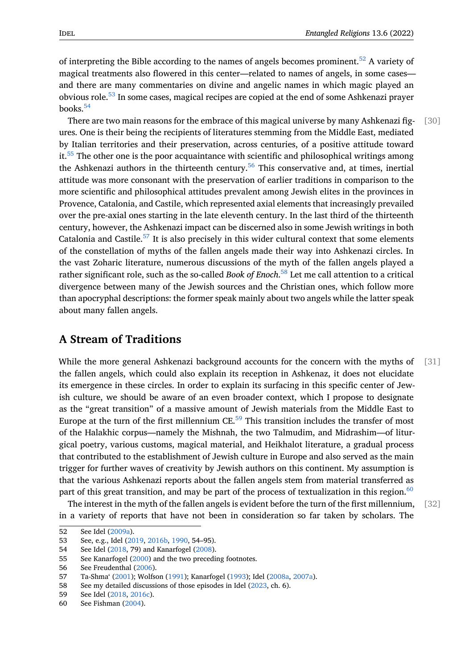of interpreting the Bible according to the names of angels becomes prominent.<sup>52</sup> A variety of magical treatments also flowered in this center—related to names of angels, in some cases and there are many commentaries on divine and angelic names in which magic played an obvious role.<sup>53</sup> In some cases, magical recipes are copied at the end of some As[hk](#page-8-0)enazi prayer books. $54$ 

There are two main reasons for the embrace of this magical universe by many Ashkenazi fig- [30] ures. One is [the](#page-8-1)ir being the recipients of literatures stemming from the Middle East, mediated by Ita[lia](#page-8-2)n territories and their preservation, across centuries, of a positive attitude toward it.<sup>55</sup> The other one is the poor acquaintance with scientific and philosophical writings among the Ashkenazi authors in the thirteenth century.<sup>56</sup> This conservative and, at times, inertial attitude was more consonant with the preservation of earlier traditions in comparison to the m[or](#page-8-3)e scientific and philosophical attitudes prevalent among Jewish elites in the provinces in Provence, Catalonia, and Castile, which represent[ed](#page-8-4) axial elements that increasingly prevailed over the pre-axial ones starting in the late eleventh century. In the last third of the thirteenth century, however, the Ashkenazi impact can be discerned also in some Jewish writings in both Catalonia and Castile. $57$  It is also precisely in this wider cultural context that some elements of the constellation of myths of the fallen angels made their way into Ashkenazi circles. In the vast Zoharic literature, numerous discussions of the myth of the fallen angels played a rather significant role[, su](#page-8-5)ch as the so-called *Book of Enoch*. <sup>58</sup> Let me call attention to a critical divergence between many of the Jewish sources and the Christian ones, which follow more than apocryphal descriptions: the former speak mainly about two angels while the latter speak about many fallen angels.

#### **A Stream of Traditions**

While the more general Ashkenazi background accounts for the concern with the myths of [31] the fallen angels, which could also explain its reception in Ashkenaz, it does not elucidate its emergence in these circles. In order to explain its surfacing in this specific center of Jewish culture, we should be aware of an even broader context, which I propose to designate as the "great transition" of a massive amount of Jewish materials from the Middle East to Europe at the turn of the first millennium  $CE$ <sup>59</sup> This transition includes the transfer of most of the Halakhic corpus—namely the Mishnah, the two Talmudim, and Midrashim—of liturgical poetry, various customs, magical material, and Heikhalot literature, a gradual process that contributed to the establishment of Jewis[h c](#page-8-6)ulture in Europe and also served as the main trigger for further waves of creativity by Jewish authors on this continent. My assumption is that the various Ashkenazi reports about the fallen angels stem from material transferred as part of this great transition, and may be part of the process of textualization in this region.<sup>60</sup>

The interest in the myth of the fallen angels is evident before the turn of the first millennium, [32] in a variety of reports that have not been in consideration so far taken by scholars. The

<sup>52</sup> See Idel (2009a).

<sup>53</sup> See, e.g., Idel (2019, 2016b, 1990, 54–95).

<sup>54</sup> See Idel (2018, 79) and Kanarfogel (2008).

<sup>55</sup> See Kanarfogel (2000) and the two preceding footnotes.

<span id="page-8-0"></span><sup>56</sup> See Freu[denthal](#page-16-4) (2006).

<span id="page-8-1"></span><sup>57</sup> Ta-Shma' (200[1\); W](#page-17-9)[olfson \(](#page-17-2)[1991\);](#page-16-5) Kanarfogel (1993); Idel (2008a, 2007a).

<span id="page-8-2"></span><sup>58</sup> See my d[etaile](#page-17-10)d discussions of those [episo](#page-17-3)des in Idel (2023, ch. 6).

<span id="page-8-3"></span><sup>59</sup> See Idel (2018, [2016c](#page-17-11)).

<span id="page-8-6"></span><span id="page-8-5"></span><span id="page-8-4"></span><sup>60</sup> See Fishman (20[04\).](#page-15-12)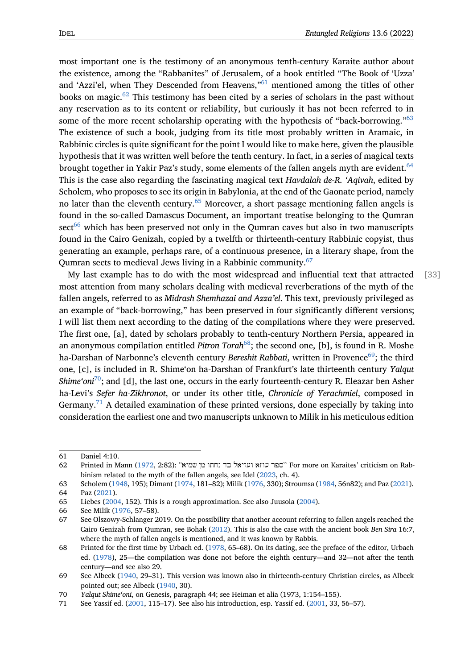most important one is the testimony of an anonymous tenth-century Karaite author about the existence, among the "Rabbanites" of Jerusalem, of a book entitled "The Book of 'Uzza' and 'Azzi'el, when They Descended from Heavens,"<sup>61</sup> mentioned among the titles of other books on magic.<sup>62</sup> This testimony has been cited by a series of scholars in the past without any reservation as to its content or reliability, but curiously it has not been referred to in some of the more recent scholarship operating wit[h t](#page-9-0)he hypothesis of "back-borrowing."<sup>63</sup> The existence o[f s](#page-9-1)uch a book, judging from its title most probably written in Aramaic, in Rabbinic circles is quite significant for the point I would like to make here, given the plausible hypothesis that it was written well before the tenth century. In fact, in a series of magical te[xts](#page-9-2) brought together in Yakir Paz's study, some elements of the fallen angels myth are evident.  $64$ This is the case also regarding the fascinating magical text *Havdalah de-R. 'Aqivah*, edited by Scholem, who proposes to see its origin in Babylonia, at the end of the Gaonate period, namely no later than the eleventh century.<sup>65</sup> Moreover, a short passage mentioning fallen angels [is](#page-9-3) found in the so-called Damascus Document, an important treatise belonging to the Qumran  $sect<sup>66</sup>$  which has been preserved not only in the Qumran caves but also in two manuscripts found in the Cairo Genizah, copied [by](#page-9-4) a twelfth or thirteenth-century Rabbinic copyist, thus generating an example, perhaps rare, of a continuous presence, in a literary shape, from the Qu[mr](#page-9-5)an sects to medieval Jews living in a Rabbinic community.<sup>67</sup>

My last example has to do with the most widespread and influential text that attracted [33] most attention from many scholars dealing with medieval reverberations of the myth of the fallen angels, referred to as *Midrash Shemhazai and Azza'el*. This [tex](#page-9-6)t, previously privileged as an example of "back-borrowing," has been preserved in four significantly different versions; I will list them next according to the dating of the compilations where they were preserved. The first one, [a], dated by scholars probably to tenth-century Northern Persia, appeared in an anonymous compilation entitled *Pitron Torah*<sup>68</sup>; the second one, [b], is found in R. Moshe ha-Darshan of Narbonne's eleventh century *Bereshit Rabbati*, written in Provence<sup>69</sup>; the third one, [c], is included in R. Shime'on ha-Darshan of Frankfurt's late thirteenth century *Yalqut Shime'oni*<sup>70</sup>;and [d], the last one, occurs in the e[ar](#page-9-7)ly fourteenth-century R. Eleazar ben Asher ha-Levi's *Sefer ha-Zikhronot*, or under its other title, *Chronicle of Yerachmiel*, [com](#page-9-8)posed in Germany.<sup>71</sup> A detailed examination of these printed versions, done especially by taking into consider[ati](#page-9-9)on the earliest one and two manuscripts unknown to Milik in his meticulous edition

<sup>61</sup> Daniel 4:10.

<sup>62</sup> Printed in Mann (1972, 2:82): ''שמיא מן נחתו כד ועזיאל עוזא ספר ``For more on Karaites' criticism on Rabbinism related to the myth of the fallen angels, see Idel (2023, ch. 4).

<span id="page-9-0"></span><sup>63</sup> Scholem (1948, 195); Dimant (1974, 181–82); Milik (1976, 330); Stroumsa (1984, 56n82); and Paz (2021). 64 Paz (2021).

<span id="page-9-1"></span><sup>65</sup> Liebes (2004, 152[\). Thi](#page-18-10)s is a rough approximation. See also Juusola (2004).

<sup>66</sup> See Milik (1976, 57–58).

<span id="page-9-3"></span><span id="page-9-2"></span><sup>67</sup> See Olszo[wy-Sc](#page-19-4)hlanger 2019. [On the](#page-14-0) possibility that [anoth](#page-18-1)[er a](#page-17-0)ccount referri[ng to](#page-19-5) fallen angels reac[hed th](#page-18-11)e Cair[o Geni](#page-18-11)zah from Qumran, see Bohak (2012). This is also the case with the ancient book *Ben Sira* 16:7, wheret[he my](#page-18-9)th of fallen angels is mentioned, and it was known by [Rabbis](#page-17-12).

<span id="page-9-6"></span><span id="page-9-5"></span><span id="page-9-4"></span><sup>68</sup> Printed for [the fi](#page-18-1)rst time by Urbach ed. (1978, 65–68). On its dating, see the preface of the editor, Urbach ed. (1978), 25—the compilation was done not before the eighth century—and 32—not after the tenth century—and see also 29.

<span id="page-9-7"></span><sup>69</sup> See Albeck (1940, 29–31). This version [was kn](#page-14-13)own also in thirteenth-century Christian circles, as Albeck pointed out; see Albeck (1940, 30).

<sup>70</sup> *Yalq[ut Shim](#page-20-4)e'oni*, on Genesis, paragraph [44; se](#page-20-4)e Heiman et alia (1973, 1:154–155).

<span id="page-9-9"></span><span id="page-9-8"></span><sup>71</sup> See Yassif ed. (2001, 115–17). See also his introduction, esp. Yassif ed. (2001, 33, 56–57).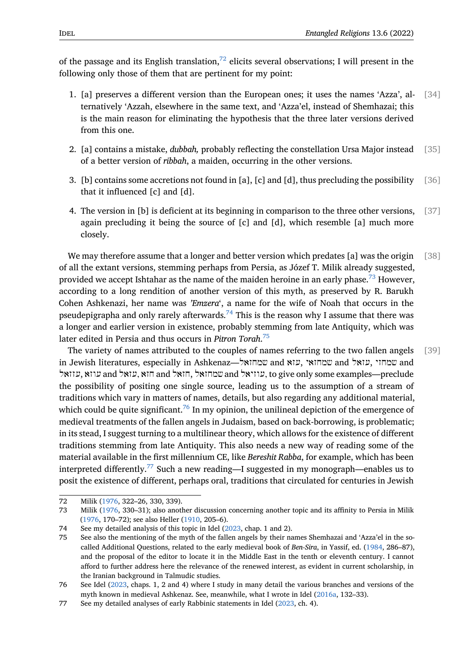of the passage and its English translation, $^{72}$  elicits several observations; I will present in the following only those of them that are pertinent for my point:

- 1. [a] preserves a different version th[an](#page-10-0) the European ones; it uses the names 'Azza', al- [34] ternatively 'Azzah, elsewhere in the same text, and 'Azza'el, instead of Shemhazai; this is the main reason for eliminating the hypothesis that the three later versions derived from this one.
- 2. [a] contains a mistake, *dubbah,* probably reflecting the constellation Ursa Major instead [35] of a better version of *ribbah*, a maiden, occurring in the other versions.
- 3. [b] contains some accretions not found in [a], [c] and [d], thus precluding the possibility [36] that it influenced [c] and [d].
- 4. The version in [b] is deficient at its beginning in comparison to the three other versions, [37] again precluding it being the source of [c] and [d], which resemble [a] much more closely.

We may therefore assume that a longer and better version which predates [a] was the origin  $[38]$ of all the extant versions, stemming perhaps from Persia, as Józef T. Milik already suggested, provided we accept Ishtahar as the name of the maiden heroine in an early phase.<sup>73</sup> However, according to a long rendition of another version of this myth, as preserved by R. Barukh Cohen Ashkenazi, her name was *'Emzera*', a name for the wife of Noah that occurs in the pseudepigrapha and only rarely afterwards.<sup>74</sup> This is the reason why I assume th[at](#page-10-1) there was a longer and earlier version in existence, probably stemming from late Antiquity, which was later edited in Persia and thus occurs in *Pitron Torah*. 75

The variety of names attributed to the c[oup](#page-10-2)les of names referring to the two fallen angels [39] in Jewish literatures, especially in Ashkenaz—שמחזאל and עזא, שמחזאי and עזאל, שמחזי and עזזאל, עוזא and עזאל, חזא and חזאל, שמחזאל and [ע](#page-10-3)וזיאל[,](#page-10-3) to give only some examples—preclude the possibility of positing one single source, leading us to the assumption of a stream of traditions which vary in matters of names, details, but also regarding any additional material, which could be quite significant.<sup>76</sup> In my opinion, the unilineal depiction of the emergence of medieval treatments of the fallen angels in Judaism, based on back-borrowing, is problematic; in its stead, I suggest turning to a multilinear theory, which allows for the existence of different traditions stemming from late [Ant](#page-10-4)iquity. This also needs a new way of reading some of the material available in the first millennium CE, like *Bereshit Rabba*, for example, which has been interpreted differently.<sup>77</sup> Such a new reading—I suggested in my monograph—enables us to posit the existence of different, perhaps oral, traditions that circulated for centuries in Jewish

<sup>72</sup> Milik (1976, 322–26[, 33](#page-10-5)0, 339).

<sup>73</sup> Milik (1976, 330–31); also another discussion concerning another topic and its affinity to Persia in Milik (1976, 170–72); see also Heller (1910, 205–6).

<sup>74</sup> See my detailed analysis of this topic in Idel (2023, chap. 1 and 2).

<span id="page-10-1"></span><span id="page-10-0"></span><sup>75</sup> See al[so the](#page-18-1) mentioning of the myth of the fallen angels by their names Shemhazai and 'Azza'el in the socalled [Addit](#page-18-1)ional Questions, related to the early medieval book of *Ben-Sira*, in Yassif, ed. (1984, 286–87), [and th](#page-18-1)e proposal of the editor t[o loca](#page-15-13)te it in the Middle East in the tenth or eleventh century. I cannot afford to further address here the relevance [of the](#page-17-0) renewed interest, as evident in current scholarship, in the Iranian background in Talmudic studies.

<span id="page-10-3"></span><span id="page-10-2"></span><sup>76</sup> See Idel (2023, chaps. 1, 2 and 4) where I study in many detail the various branches and [versi](#page-20-5)ons of the myth known in medieval Ashkenaz. See, meanwhile, what I wrote in Idel (2016a, 132–33).

<span id="page-10-5"></span><span id="page-10-4"></span><sup>77</sup> See my detailed analyses of early Rabbinic statements in Idel (2023, ch. 4).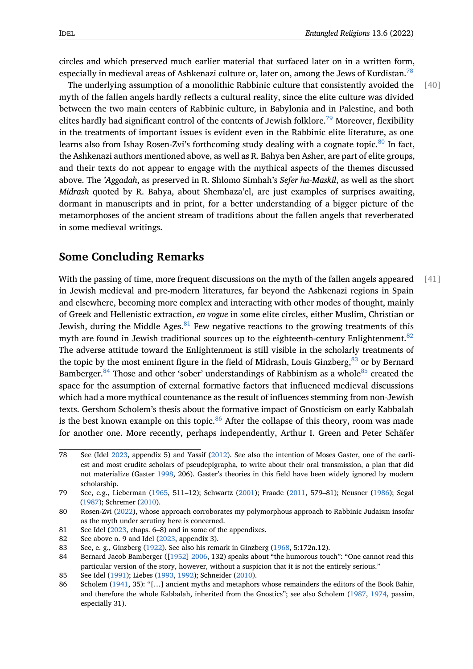circles and which preserved much earlier material that surfaced later on in a written form, especially in medieval areas of Ashkenazi culture or, later on, among the Jews of Kurdistan.<sup>78</sup>

The underlying assumption of a monolithic Rabbinic culture that consistently avoided the [40] myth of the fallen angels hardly reflects a cultural reality, since the elite culture was divided between the two main centers of Rabbinic culture, in Babylonia and in Palestine, and bo[th](#page-11-0) elites hardly had significant control of the contents of Jewish folklore.<sup>79</sup> Moreover, flexibility in the treatments of important issues is evident even in the Rabbinic elite literature, as one learns also from Ishay Rosen-Zvi's forthcoming study dealing with a cognate topic. $80$  In fact, the Ashkenazi authors mentioned above, as well as R. Bahya ben Asher[, ar](#page-11-1)e part of elite groups, and their texts do not appear to engage with the mythical aspects of the themes discussed above. The *'Aggadah*, as preserved in R. Shlomo Simhah's *Sefer ha-Maskil*, as well as [th](#page-11-2)e short *Midrash* quoted by R. Bahya, about Shemhaza'el, are just examples of surprises awaiting, dormant in manuscripts and in print, for a better understanding of a bigger picture of the metamorphoses of the ancient stream of traditions about the fallen angels that reverberated in some medieval writings.

#### **Some Concluding Remarks**

With the passing of time, more frequent discussions on the myth of the fallen angels appeared [41] in Jewish medieval and pre-modern literatures, far beyond the Ashkenazi regions in Spain and elsewhere, becoming more complex and interacting with other modes of thought, mainly of Greek and Hellenistic extraction, *en vogue* in some elite circles, either Muslim, Christian or Jewish, during the Middle Ages. $81$  Few negative reactions to the growing treatments of this myth are found in Jewish traditional sources up to the eighteenth-century Enlightenment.<sup>82</sup> The adverse attitude toward the Enlightenment is still visible in the scholarly treatments of the topic by the most eminent fi[gu](#page-11-3)re in the field of Midrash, Louis Ginzberg,  $83$  or by Bernard Bamberger.<sup>84</sup> Those and ot[he](#page-11-4)r 'sober' understandings of Rabbinism as a whole<sup>85</sup> created the space for the assumption of external formative factors that influenced medieval discussions which had a more mythical countenance as the result of influences stemming [fro](#page-11-5)m non-Jewish texts. Gers[hom](#page-11-6) Scholem's thesis about the formative impact of Gnosticism one[ar](#page-11-7)ly Kabbalah is the best known example on this topic. $86$  After the collapse of this theory, room was made for another one. More recently, perhaps independently, Arthur I. Green and Peter Schäfer

<sup>78</sup> See (Idel 2023, appendix 5) and Yassif (2[01](#page-11-8)2). See also the intention of Moses Gaster, one of the earliest and most erudite scholars of pseudepigrapha, to write about their oral transmission, a plan that did not materialize (Gaster 1998, 206). Gaster's theories in this field have been widely ignored by modern scholarship.

<span id="page-11-0"></span><sup>79</sup> See, e.g., [Liebe](#page-17-0)rman (1965, 511–12); Sc[hwar](#page-20-6)tz (2001); Fraade (2011, 579–81); Neusner (1986); Segal (1987); Schremer (2010).

<sup>80</sup> Rosen-Zvi (2022), whos[e appr](#page-15-14)oach corroborates my polymorphous approach to Rabbinic Judaism insofar as the myth under scrutiny here is concerned.

<span id="page-11-1"></span><sup>81</sup> See Idel (2023, chaps. [6–8\)](#page-18-12) and in some of the ap[pendix](#page-19-6)es.

<sup>82</sup> [See ab](#page-19-7)ove n. 9 and [Idel \(](#page-19-8)2023, appendix 3).

<span id="page-11-2"></span><sup>83</sup> See, e. g., [Ginzbe](#page-19-9)rg (1922). See also his remark in Ginzberg (1968, 5:172n.12).

<span id="page-11-3"></span><sup>84</sup> Bernard Jacob Bamberger ([1952] 2006, 132) speaks about "the humorous touch": "One cannot read this particula[r vers](#page-17-0)ion of the story, however, without a suspicion that it is not the entirely serious."

<span id="page-11-4"></span><sup>85</sup> See Idel (1991); Liebes([1993,](#page-17-0) 1992); Schneider (2010).

<span id="page-11-8"></span><span id="page-11-7"></span><span id="page-11-6"></span><span id="page-11-5"></span><sup>86</sup> Scholem (1941, 35): "[...] ancient myths and metaphors wh[ose re](#page-15-16)mainders the editors of the Book Bahir, and therefore the whole Ka[bbala](#page-14-14)h[, inhe](#page-14-14)rited from the Gnostics"; see also Scholem (1987, 1974, passim, especially 31).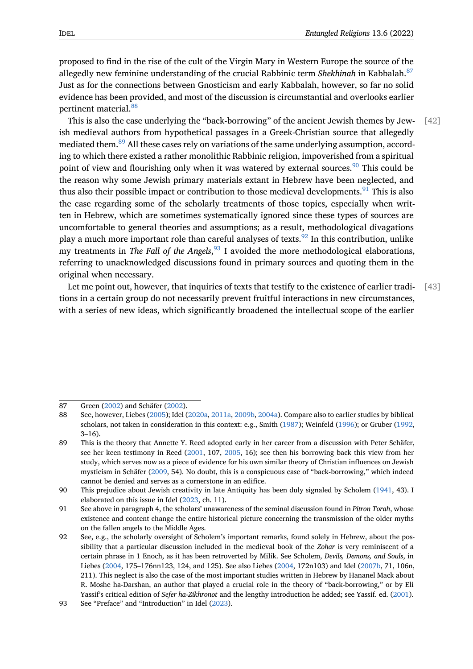proposed to find in the rise of the cult of the Virgin Mary in Western Europe the source of the allegedly new feminine understanding of the crucial Rabbinic term *Shekhinah* in Kabbalah.<sup>87</sup> Just as for the connections between Gnosticism and early Kabbalah, however, so far no solid evidence has been provided, and most of the discussion is circumstantial and overlooks earlier pertinent material.<sup>88</sup>

This is also the case underlying the "back-borrowing" of the ancient Jewish themes by Jew- [42] ish medieval authors from hypothetical passages in a Greek-Christian source that allegedly mediated them.<sup>89</sup> [All](#page-12-0) these cases rely on variations of the same underlying assumption, according to which there existed a rather monolithic Rabbinic religion, impoverished from a spiritual point of view and flourishing only when it was watered by external sources.<sup>90</sup> This could be the reason wh[y so](#page-12-1)me Jewish primary materials extant in Hebrew have been neglected, and thus also their possible impact or contribution to those medieval developments.<sup>91</sup> This is also the case regarding some of the scholarly treatments of those topics, espec[ial](#page-12-2)ly when written in Hebrew, which are sometimes systematically ignored since these types of sources are uncomfortable to general theories and assumptions; as a result, methodologic[al](#page-12-3) divagations play a much more important role than careful analyses of texts.<sup>92</sup> In this contribution, unlike my treatments in *The Fall of the Angels*, <sup>93</sup> I avoided the more methodological elaborations, referring to unacknowledged discussions found in primary sources and quoting them in the original when necessary.

Let me point out, however, that inquir[ies](#page-12-4) of texts that testify to the existence of earlier tradi- [43] tions in a certain group do not necessarily prevent fruitful interactions in new circumstances, with a series of new ideas, which significantly broadened the intellectual scope of the earlier

<sup>87</sup> Green (2002) and Schäfer (2002).

<sup>88</sup> See, however, Liebes (2005); Idel (2020a, 2011a, 2009b, 2004a). Compare also to earlier studies by biblical scholars, not taken in consideration in this context: e.g., Smith (1987); Weinfeld (1996); or Gruber (1992, 3–16).

<span id="page-12-0"></span><sup>89</sup> This is [the th](#page-15-17)eory that Ann[ette Y](#page-19-10). Reed adopted early in her career from a discussion with Peter Schäfer, see her keen testimo[ny in](#page-18-13) Reed([2001,](#page-17-1) [107,](#page-16-6) [20](#page-16-6)[05, 16\)](#page-16-7); [see th](#page-16-8)en his borrowing back this view from her study, which serves now as a piece of evidence for his own simil[ar theo](#page-19-11)ry of Christ[ian in](#page-20-7)fluences on J[ewish](#page-15-18) mysticism in Schäfer (2009, 54). No doubt, this is a conspicuous case of "back-borrowing," which indeed cannot be denied and serves as a cornerstone in an edifice.

<span id="page-12-1"></span><sup>90</sup> This prejudice about Jewish crea[tivity](#page-18-2) in lat[e Antiq](#page-18-0)uity has been duly signaled by Scholem (1941, 43). I elaborated on this issue in Idel (2023, ch. 11).

<sup>91</sup> See above in paragrap[h 4, th](#page-19-12)e scholars' unawareness of the seminal discussion found in *Pitron Torah*, whose existence and content change the entire historical picture concerning the transmission of the older myths on the fallen angels to the Middle Ages.

<span id="page-12-3"></span><span id="page-12-2"></span><sup>92</sup> See, e.g., the scholarly oversigh[t of Sc](#page-17-0)holem's important remarks, found solely in Hebrew, a[bout th](#page-19-13)e possibility that a particular discussion included in the medieval book of the *Zohar* is very reminiscent of a certain phrase in 1 Enoch, as it has been retroverted by Milik. See Scholem, *Devils, Demons, and Souls*, in Liebes (2004, 175–176nn123, 124, and 125). See also Liebes (2004, 172n103) and Idel (2007b, 71, 106n, 211). This neglect is also the case of the most important studies written in Hebrew by Hananel Mack about R. Moshe ha-Darshan, an author that played a crucial role in the theory of "back-borrowing," or by Eli Yassif's critical edition of *Sefer ha-Zikhronot* and the lengthy introduction he added; see Yassif. ed. (2001).

<span id="page-12-4"></span><sup>93</sup> See "Pr[eface"](#page-18-9) and "Introduction" in Idel (2023).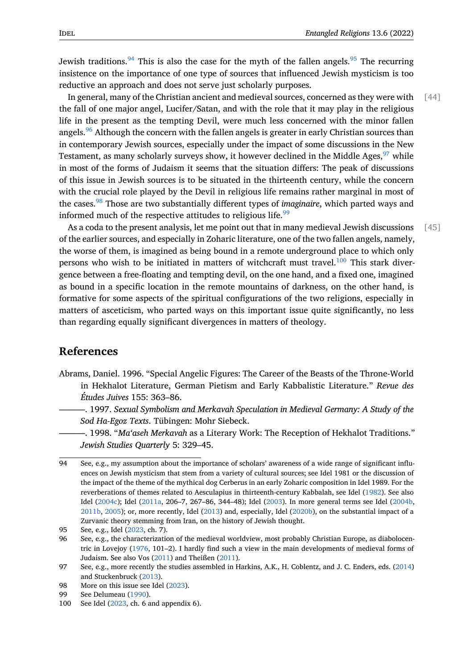Jewish traditions.<sup>94</sup> This is also the case for the myth of the fallen angels.<sup>95</sup> The recurring insistence on the importance of one type of sources that influenced Jewish mysticism is too reductive an approach and does not serve just scholarly purposes.

In general, man[y o](#page-13-0)f the Christian ancient and medieval sources, concerned [as](#page-13-1) they were with  $\lceil 44 \rceil$ the fall of one major angel, Lucifer/Satan, and with the role that it may play in the religious life in the present as the tempting Devil, were much less concerned with the minor fallen angels.<sup>96</sup> Although the concern with the fallen angels is greater in early Christian sources than in contemporary Jewish sources, especially under the impact of some discussions in the New Testament, as many scholarly surveys show, it however declined in the Middle Ages, <sup>97</sup> while in mos[t o](#page-13-2)f the forms of Judaism it seems that the situation differs: The peak of discussions of this issue in Jewish sources is to be situated in the thirteenth century, while the concern with the crucial role played by the Devil in religious life remains rather marginal in [m](#page-13-3)ost of the cases.<sup>98</sup> Those are two substantially different types of *imaginaire*, which parted ways and informed much of the respective attitudes to religious life.  $99$ 

As a coda to the present analysis, let me point out that in many medieval Jewish discussions [45] of the ear[lie](#page-13-4)r sources, and especially in Zoharic literature, one of the two fallen angels, namely, the worse of them, is imagined as being bound in a remot[e u](#page-13-5)nderground place to which only persons who wish to be initiated in matters of witchcraft must travel. $100$  This stark divergence between a free-floating and tempting devil, on the one hand, and a fixed one, imagined as bound in a specific location in the remote mountains of darkness, on the other hand, is formative for some aspects of the spiritual configurations of the two re[ligi](#page-13-6)ons, especially in matters of asceticism, who parted ways on this important issue quite significantly, no less than regarding equally significant divergences in matters of theology.

### **References**

- Abrams, Daniel. 1996. "Special Angelic Figures: The Career of the Beasts of the Throne-World in Hekhalot Literature, German Pietism and Early Kabbalistic Literature." *Revue des Études Juives* 155: 363–86.
	- ———. 1997. *Sexual Symbolism and Merkavah Speculation in Medieval Germany: A Study of the Sod Ha-Egoz Texts*. Tübingen: Mohr Siebeck.
- ———. 1998. "*Ma'aseh Merkavah* as a Literary Work: The Reception of Hekhalot Traditions." *Jewish Studies Quarterly* 5: 329–45.

<sup>94</sup> See, e.g., my assumption about the importance of scholars' awareness of a wide range of significant influences on Jewish mysticism that stem from a variety of cultural sources; see Idel 1981 or the discussion of the impact of the theme of the mythical dog Cerberus in an early Zoharic composition in Idel 1989. For the reverberations of themes related to Aesculapius in thirteenth-century Kabbalah, see Idel (1982). See also Idel (2004c); Idel (2011a, 206–7, 267–86, 344–48); Idel (2003). In more general terms see Idel (2004b, 2011b, 2005); or, more recently, Idel (2013) and, especially, Idel (2020b), on the substantial impact of a Zurvanic theory stemming from Iran, on the history of Jewish thought.

<span id="page-13-0"></span><sup>95</sup> See, e.g., Idel (2023, ch. 7).

<sup>96</sup> See, [e.g., the](#page-16-10) chara[cteriza](#page-16-6)tion of the medieval worldview, [most](#page-16-11) probably Christian Europ[e, as d](#page-16-9)iab[olocen](#page-16-12)[tric in](#page-16-13) [Lovejo](#page-16-14)y (1976, 101–2). I hardl[y find](#page-16-15) such a view in the m[ain dev](#page-17-13)elopments of medieval forms of Judaism. See also Vos (2011) and Theißen (2011).

<span id="page-13-2"></span><span id="page-13-1"></span><sup>97</sup> See, e.g., more [recen](#page-17-0)tly the studies assembled in Harkins, A.K., H. Coblentz, and J. C. Enders, eds. (2014) and Stuckenbruck (2013).

<sup>98</sup> More on this iss[ue see](#page-18-14) Idel (2023).

<sup>99</sup> See Delumeau (1990).

<span id="page-13-6"></span><span id="page-13-5"></span><span id="page-13-4"></span><span id="page-13-3"></span><sup>100</sup> See Idel (2023, ch. 6 a[nd app](#page-20-8)endix 6).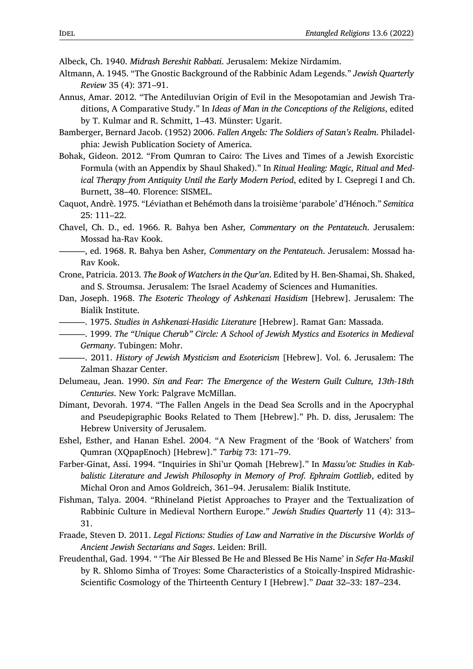Albeck, Ch. 1940. *Midrash Bereshit Rabbati*. Jerusalem: Mekize Nirdamim.

- <span id="page-14-9"></span>Altmann, A. 1945. "The Gnostic Background of the Rabbinic Adam Legends." *Jewish Quarterly Review* 35 (4): 371–91.
- <span id="page-14-1"></span>Annus, Amar. 2012. "The Antediluvian Origin of Evil in the Mesopotamian and Jewish Traditions, A Comparative Study." In *Ideas of Man in the Conceptions of the Religions*, edited by T. Kulmar and R. Schmitt, 1–43. Münster: Ugarit.
- <span id="page-14-14"></span>Bamberger, Bernard Jacob. (1952) 2006. *Fallen Angels: The Soldiers of Satan's Realm*. Philadelphia: Jewish Publication Society of America.
- <span id="page-14-13"></span>Bohak, Gideon. 2012. "From Qumran to Cairo: The Lives and Times of a Jewish Exorcistic Formula (with an Appendix by Shaul Shaked)." In *Ritual Healing: Magic, Ritual and Medical Therapy from Antiquity Until the Early Modern Period*, edited by I. Csepregi I and Ch. Burnett, 38–40. Florence: SISMEL.
- <span id="page-14-10"></span>Caquot, Andrè. 1975. "Léviathan et Behémoth dans la troisième 'parabole' d'Hénoch." *Semitica* 25: 111–22.
- <span id="page-14-12"></span>Chavel, Ch. D., ed. 1966. R. Bahya ben Asher*, Commentary on the Pentateuch*. Jerusalem: Mossad ha-Rav Kook.
- ———, ed. 1968. R. Bahya ben Asher*, Commentary on the Pentateuch*. Jerusalem: Mossad ha-Rav Kook.
- <span id="page-14-3"></span>Crone, Patricia. 2013. *The Book of Watchers in the Qur'an*. Edited by H. Ben-Shamai, Sh. Shaked, and S. Stroumsa. Jerusalem: The Israel Academy of Sciences and Humanities.
- <span id="page-14-6"></span>Dan, Joseph. 1968. *The Esoteric Theology of Ashkenazi Hasidism* [Hebrew]. Jerusalem: The Bialik Institute.
- ———. 1975. *Studies in Ashkenazi-Hasidic Literature* [Hebrew]. Ramat Gan: Massada.
- <span id="page-14-5"></span><span id="page-14-4"></span>———. 1999. *The "Unique Cherub" Circle: A School of Jewish Mystics and Esoterics in Medieval Germany*. Tubingen: Mohr.
- <span id="page-14-8"></span>———. 2011. *History of Jewish Mysticism and Esotericism* [Hebrew]. Vol. 6. Jerusalem: The Zalman Shazar Center.
- Delumeau, Jean. 1990. *Sin and Fear: The Emergence of the Western Guilt Culture, 13th-18th Centuries*. New York: Palgrave McMillan.
- <span id="page-14-0"></span>Dimant, Devorah. 1974. "The Fallen Angels in the Dead Sea Scrolls and in the Apocryphal and Pseudepigraphic Books Related to Them [Hebrew]." Ph. D. diss, Jerusalem: The Hebrew University of Jerusalem.
- <span id="page-14-2"></span>Eshel, Esther, and Hanan Eshel. 2004. "A New Fragment of the 'Book of Watchers' from Qumran (XQpapEnoch) [Hebrew]." *Tarbiẕ* 73: 171–79.
- <span id="page-14-11"></span>Farber-Ginat, Assi. 1994. "Inquiries in Shi'ur Qomah [Hebrew]." In *Massu'ot: Studies in Kabbalistic Literature and Jewish Philosophy in Memory of Prof. Ephraim Gottlieb*, edited by Michal Oron and Amos Goldreich, 361–94. Jerusalem: Bialik Institute.
- Fishman, Talya. 2004. "Rhineland Pietist Approaches to Prayer and the Textualization of Rabbinic Culture in Medieval Northern Europe." *Jewish Studies Quarterly* 11 (4): 313– 31.
- Fraade, Steven D. 2011. *Legal Fictions: Studies of Law and Narrative in the Discursive Worlds of Ancient Jewish Sectarians and Sages*. Leiden: Brill.
- <span id="page-14-7"></span>Freudenthal, Gad. 1994. " 'The Air Blessed Be He and Blessed Be His Name' in *Sefer Ha-Maskil* by R. Shlomo Simha of Troyes: Some Characteristics of a Stoically-Inspired Midrashic-Scientific Cosmology of the Thirteenth Century I [Hebrew]." *Daat* 32–33: 187–234.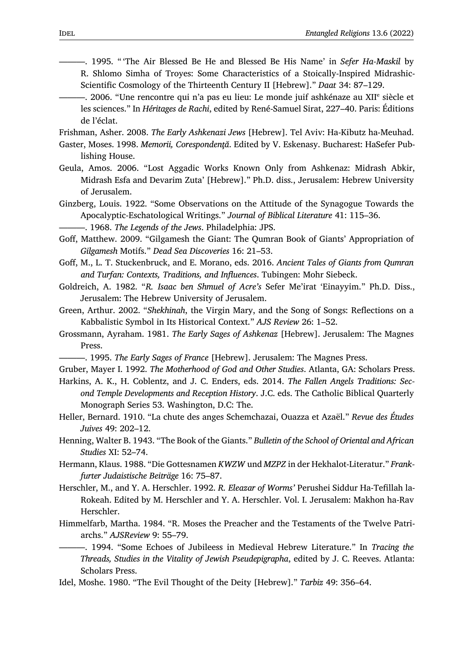- <span id="page-15-7"></span>———. 1995. " 'The Air Blessed Be He and Blessed Be His Name' in *Sefer Ha-Maskil* by R. Shlomo Simha of Troyes: Some Characteristics of a Stoically-Inspired Midrashic-Scientific Cosmology of the Thirteenth Century II [Hebrew]." *Daat* 34: 87–129.
- <span id="page-15-12"></span>—. 2006. "Une rencontre qui n'a pas eu lieu: Le monde juif ashkénaze au XII<sup>e</sup> siècle et les sciences." In *Héritages de Rachi*, edited by René-Samuel Sirat, 227–40. Paris: Éditions de l'éclat.

Frishman, Asher. 2008. *The Early Ashkenazi Jews* [Hebrew]. Tel Aviv: Ha-Kibutz ha-Meuhad.

- <span id="page-15-14"></span><span id="page-15-6"></span>Gaster, Moses. 1998. *Memorii, Corespondenţă*. Edited by V. Eskenasy. Bucharest: HaSefer Publishing House.
- Geula, Amos. 2006. "Lost Aggadic Works Known Only from Ashkenaz: Midrash Abkir, Midrash Esfa and Devarim Zuta' [Hebrew]." Ph.D. diss., Jerusalem: Hebrew University of Jerusalem.
- <span id="page-15-15"></span>Ginzberg, Louis. 1922. "Some Observations on the Attitude of the Synagogue Towards the Apocalyptic-Eschatological Writings." *Journal of Biblical Literature* 41: 115–36.

———. 1968. *The Legends of the Jews*. Philadelphia: JPS.

- <span id="page-15-16"></span><span id="page-15-8"></span>Goff, Matthew. 2009. "Gilgamesh the Giant: The Qumran Book of Giants' Appropriation of *Gilgamesh* Motifs." *Dead Sea Discoveries* 16: 21–53.
- <span id="page-15-9"></span>Goff, M., L. T. Stuckenbruck, and E. Morano, eds. 2016. *Ancient Tales of Giants from Qumran and Turfan: Contexts, Traditions, and Influences*. Tubingen: Mohr Siebeck.
- <span id="page-15-10"></span>Goldreich, A. 1982. "*R. Isaac ben Shmuel of Acre's* Sefer Me'irat 'Einayyim." Ph.D. Diss., Jerusalem: The Hebrew University of Jerusalem.
- <span id="page-15-17"></span>Green, Arthur. 2002. "*Shekhinah*, the Virgin Mary, and the Song of Songs: Reflections on a Kabbalistic Symbol in Its Historical Context." *AJS Review* 26: 1–52.
- <span id="page-15-4"></span>Grossmann, Ayraham. 1981. *The Early Sages of Ashkenaz* [Hebrew]. Jerusalem: The Magnes Press.
- ———. 1995. *The Early Sages of France* [Hebrew]. Jerusalem: The Magnes Press.

<span id="page-15-5"></span>Gruber, Mayer I. 1992. *The Motherhood of God and Other Studies*. Atlanta, GA: Scholars Press.

- <span id="page-15-18"></span>Harkins, A. K., H. Coblentz, and J. C. Enders, eds. 2014. *The Fallen Angels Traditions: Second Temple Developments and Reception History*. J.C. eds. The Catholic Biblical Quarterly Monograph Series 53. Washington, D.C: The.
- <span id="page-15-13"></span>Heller, Bernard. 1910. "La chute des anges Schemchazai, Ouazza et Azaël." *Revue des Études Juives* 49: 202–12.
- <span id="page-15-0"></span>Henning, Walter B. 1943. "The Book of the Giants." *Bulletin of the School of Oriental and African Studies* XI: 52–74.
- Hermann, Klaus. 1988. "Die Gottesnamen *KWZW* und *MZPZ* in der Hekhalot-Literatur." *Frankfurter Judaistische Beiträge* 16: 75–87.
- <span id="page-15-11"></span>Herschler, M., and Y. A. Herschler. 1992. *R. Eleazar of Worms'* Perushei Siddur Ha-Tefillah la-Rokeah. Edited by M. Herschler and Y. A. Herschler. Vol. I. Jerusalem: Makhon ha-Rav Herschler.
- <span id="page-15-3"></span>Himmelfarb, Martha. 1984. "R. Moses the Preacher and the Testaments of the Twelve Patriarchs." *AJSReview* 9: 55–79.
	- ———. 1994. "Some Echoes of Jubileess in Medieval Hebrew Literature." In *Tracing the Threads, Studies in the Vitality of Jewish Pseudepigrapha*, edited by J. C. Reeves. Atlanta: Scholars Press.
- <span id="page-15-2"></span><span id="page-15-1"></span>Idel, Moshe. 1980. "The Evil Thought of the Deity [Hebrew]." *Tarbiz* 49: 356–64.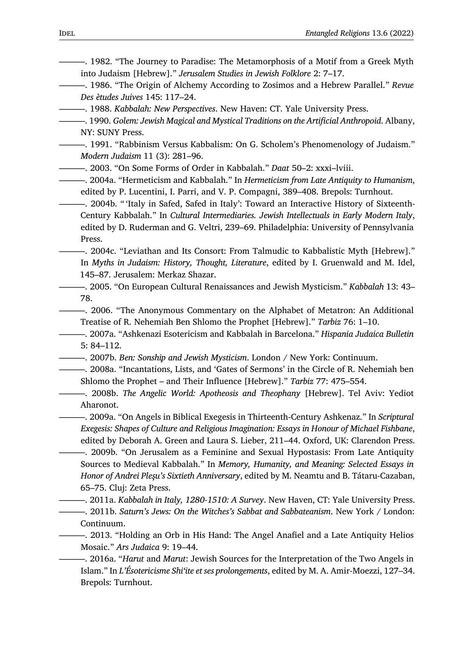<span id="page-16-9"></span>———. 1982. "The Journey to Paradise: The Metamorphosis of a Motif from a Greek Myth into Judaism [Hebrew]." *Jerusalem Studies in Jewish Folklore* 2: 7–17.

<span id="page-16-1"></span>———. 1986. "The Origin of Alchemy According to Zosimos and a Hebrew Parallel." *Revue Des ètudes Juives* 145: 117–24.

———. 1988. *Kabbalah: New Perspectives*. New Haven: CT. Yale University Press.

<span id="page-16-5"></span>———. 1990. *Golem: Jewish Magical and Mystical Traditions on the Artificial Anthropoid*. Albany, NY: SUNY Press.

———. 1991. "Rabbinism Versus Kabbalism: On G. Scholem's Phenomenology of Judaism." *Modern Judaism* 11 (3): 281–96.

- <span id="page-16-11"></span>———. 2003. "On Some Forms of Order in Kabbalah." *Daat* 50–2: xxxi–lviii.
- <span id="page-16-8"></span>———. 2004a. "Hermeticism and Kabbalah." In *Hermeticism from Late Antiquity to Humanism*, edited by P. Lucentini, I. Parri, and V. P. Compagni, 389–408. Brepols: Turnhout.

<span id="page-16-12"></span>———. 2004b. " 'Italy in Safed, Safed in Italy': Toward an Interactive History of Sixteenth-Century Kabbalah." In *Cultural Intermediaries. Jewish Intellectuals in Early Modern Italy*, edited by D. Ruderman and G. Veltri, 239–69. Philadelphia: University of Pennsylvania Press.

<span id="page-16-10"></span>———. 2004c. "Leviathan and Its Consort: From Talmudic to Kabbalistic Myth [Hebrew]." In *Myths in Judaism: History, Thought, Literature*, edited by I. Gruenwald and M. Idel, 145–87. Jerusalem: Merkaz Shazar.

<span id="page-16-14"></span>———. 2005. "On European Cultural Renaissances and Jewish Mysticism." *Kabbalah* 13: 43– 78.

———. 2006. "The Anonymous Commentary on the Alphabet of Metatron: An Additional Treatise of R. Nehemiah Ben Shlomo the Prophet [Hebrew]." *Tarbiz* 76: 1–10.

———. 2007a. "Ashkenazi Esotericism and Kabbalah in Barcelona." *Hispania Judaica Bulletin* 5: 84–112.

———. 2007b. *Ben: Sonship and Jewish Mysticism*. London / New York: Continuum.

- <span id="page-16-0"></span>———. 2008a. "Incantations, Lists, and 'Gates of Sermons' in the Circle of R. Nehemiah ben Shlomo the Prophet – and Their Influence [Hebrew]." *Tarbiz* 77: 475–554.
- <span id="page-16-3"></span>———. 2008b. *The Angelic World: Apotheosis and Theophany* [Hebrew]. Tel Aviv: Yediot Aharonot.

<span id="page-16-4"></span>———. 2009a. "On Angels in Biblical Exegesis in Thirteenth-Century Ashkenaz." In *Scriptural Exegesis: Shapes of Culture and Religious Imagination: Essays in Honour of Michael Fishbane*, edited by Deborah A. Green and Laura S. Lieber, 211–44. Oxford, UK: Clarendon Press.

<span id="page-16-7"></span>———. 2009b. "On Jerusalem as a Feminine and Sexual Hypostasis: From Late Antiquity Sources to Medieval Kabbalah." In *Memory, Humanity, and Meaning: Selected Essays in Honor of Andrei Pleşu's Sixtieth Anniversary*, edited by M. Neamtu and B. Tátaru-Cazaban, 65–75. Cluj: Zeta Press.

<span id="page-16-6"></span>———. 2011a. *Kabbalah in Italy, 1280-1510: A Survey*. New Haven, CT: Yale University Press. ———. 2011b. *Saturn's Jews: On the Witches's Sabbat and Sabbateanism*. New York / London: Continuum.

- <span id="page-16-15"></span><span id="page-16-13"></span>———. 2013. "Holding an Orb in His Hand: The Angel Anafiel and a Late Antiquity Helios Mosaic." *Ars Judaica* 9: 19–44.
- <span id="page-16-2"></span>———. 2016a. "*Harut* and *Marut*: Jewish Sources for the Interpretation of the Two Angels in Islam." In *L'Ésotericisme Shi'ite et ses prolongements*, edited by M. A. Amir-Moezzi, 127–34. Brepols: Turnhout.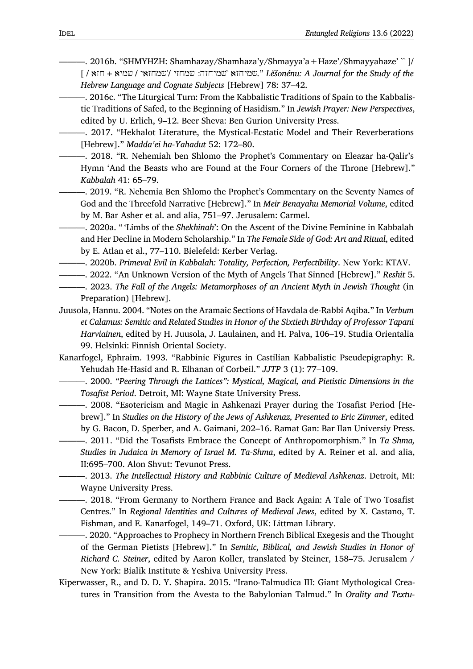- <span id="page-17-2"></span>———. 2016b. "SHMYHZH: Shamhazay/Shamhaza'y/Shmayya'a+Haze'/Shmayyahaze' `` ]/ [ / חזא + שמיא / שמחזאי'/ שמחזי :שמיחזה `שמיחזא. "*Lĕšonénu: A Journal for the Study of the Hebrew Language and Cognate Subjects* [Hebrew] 78: 37–42.
- ———. 2016c. "The Liturgical Turn: From the Kabbalistic Traditions of Spain to the Kabbalistic Traditions of Safed, to the Beginning of Hasidism." In *Jewish Prayer: New Perspectives*, edited by U. Erlich, 9–12. Beer Sheva: Ben Gurion University Press.
- ———. 2017. "Hekhalot Literature, the Mystical-Ecstatic Model and Their Reverberations [Hebrew]." *Maddaʿei ha-Yahadut* 52: 172–80.
- <span id="page-17-10"></span>———. 2018. "R. Nehemiah ben Shlomo the Prophet's Commentary on Eleazar ha-Qalir's Hymn 'And the Beasts who are Found at the Four Corners of the Throne [Hebrew]." *Kabbalah* 41: 65–79.
- <span id="page-17-9"></span>———. 2019. "R. Nehemia Ben Shlomo the Prophet's Commentary on the Seventy Names of God and the Threefold Narrative [Hebrew]." In *Meir Benayahu Memorial Volume*, edited by M. Bar Asher et al. and alia, 751–97. Jerusalem: Carmel.
- <span id="page-17-1"></span>———. 2020a. " 'Limbs of the *Shekhinah*': On the Ascent of the Divine Feminine in Kabbalah and Her Decline in Modern Scholarship." In *The Female Side of God: Art and Ritual*, edited by E. Atlan et al., 77–110. Bielefeld: Kerber Verlag.
- ———. 2020b. *Primeval Evil in Kabbalah: Totality, Perfection, Perfectibility*. New York: KTAV.
- <span id="page-17-13"></span>———. 2022. "An Unknown Version of the Myth of Angels That Sinned [Hebrew]." *Reshit* 5.
- <span id="page-17-8"></span><span id="page-17-0"></span>———. 2023. *The Fall of the Angels: Metamorphoses of an Ancient Myth in Jewish Thought* (in Preparation) [Hebrew].
- <span id="page-17-12"></span>Juusola, Hannu. 2004. "Notes on the Aramaic Sections of Havdala de-Rabbi Aqiba." In *Verbum et Calamus: Semitic and Related Studies in Honor of the Sixtieth Birthday of Professor Tapani Harviainen*, edited by H. Juusola, J. Laulainen, and H. Palva, 106–19. Studia Orientalia 99. Helsinki: Finnish Oriental Society.
- Kanarfogel, Ephraim. 1993. "Rabbinic Figures in Castilian Kabbalistic Pseudepigraphy: R. Yehudah He-Hasid and R. Elhanan of Corbeil." *JJTP* 3 (1): 77–109.
- <span id="page-17-11"></span>———. 2000. *"Peering Through the Lattices": Mystical, Magical, and Pietistic Dimensions in the Tosafist Period*. Detroit, MI: Wayne State University Press.
- <span id="page-17-3"></span>———. 2008. "Esotericism and Magic in Ashkenazi Prayer during the Tosafist Period [Hebrew]." In *Studies on the History of the Jews of Ashkenaz, Presented to Eric Zimmer*, edited by G. Bacon, D. Sperber, and A. Gaimani, 202–16. Ramat Gan: Bar Ilan Universiy Press.
- <span id="page-17-6"></span>———. 2011. "Did the Tosafists Embrace the Concept of Anthropomorphism." In *Ta Shma, Studies in Judaica in Memory of Israel M. Ta-Shma*, edited by A. Reiner et al. and alia, II:695–700. Alon Shvut: Tevunot Press.
- <span id="page-17-5"></span>———. 2013. *The Intellectual History and Rabbinic Culture of Medieval Ashkenaz*. Detroit, MI: Wayne University Press.
- <span id="page-17-4"></span>———. 2018. "From Germany to Northern France and Back Again: A Tale of Two Tosafist Centres." In *Regional Identities and Cultures of Medieval Jews*, edited by X. Castano, T. Fishman, and E. Kanarfogel, 149–71. Oxford, UK: Littman Library.
- ———. 2020. "Approaches to Prophecy in Northern French Biblical Exegesis and the Thought of the German Pietists [Hebrew]." In *Semitic, Biblical, and Jewish Studies in Honor of Richard C. Steiner*, edited by Aaron Koller, translated by Steiner, 158–75. Jerusalem / New York: Bialik Institute & Yeshiva University Press.
- <span id="page-17-7"></span>Kiperwasser, R., and D. D. Y. Shapira. 2015. "Irano-Talmudica III: Giant Mythological Creatures in Transition from the Avesta to the Babylonian Talmud." In *Orality and Textu-*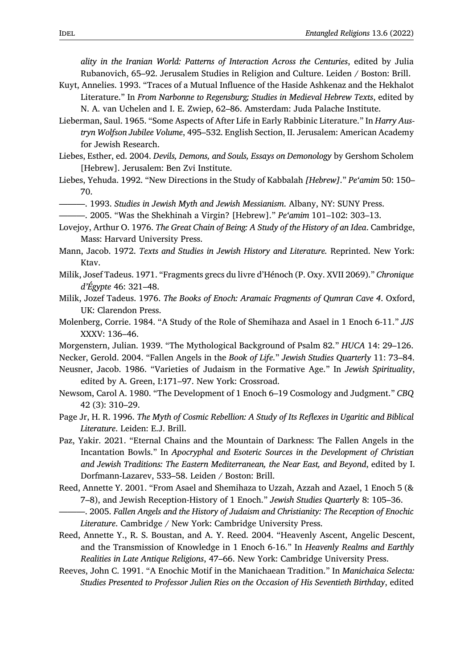*ality in the Iranian World: Patterns of Interaction Across the Centuries*, edited by Julia Rubanovich, 65–92. Jerusalem Studies in Religion and Culture. Leiden / Boston: Brill.

- Kuyt, Annelies. 1993. "Traces of a Mutual Influence of the Haside Ashkenaz and the Hekhalot Literature." In *From Narbonne to Regensburg; Studies in Medieval Hebrew Texts*, edited by N. A. van Uchelen and I. E. Zwiep, 62–86. Amsterdam: Juda Palache Institute.
- <span id="page-18-12"></span>Lieberman, Saul. 1965. "Some Aspects of After Life in Early Rabbinic Literature." In *Harry Austryn Wolfson Jubilee Volume*, 495–532. English Section, II. Jerusalem: American Academy for Jewish Research.
- <span id="page-18-9"></span>Liebes, Esther, ed. 2004. *Devils, Demons, and Souls, Essays on Demonology* by Gershom Scholem [Hebrew]. Jerusalem: Ben Zvi Institute.
- Liebes, Yehuda. 1992. "New Directions in the Study of Kabbalah *[Hebrew]*." *Pe'amim* 50: 150– 70.
- ———. 1993. *Studies in Jewish Myth and Jewish Messianism*. Albany, NY: SUNY Press.
	- ———. 2005. "Was the Shekhinah a Virgin? [Hebrew]." *Pe'amim* 101–102: 303–13.
- <span id="page-18-14"></span><span id="page-18-13"></span>Lovejoy, Arthur O. 1976. *The Great Chain of Being: A Study of the History of an Idea*. Cambridge, Mass: Harvard University Press.
- <span id="page-18-10"></span>Mann, Jacob. 1972. *Texts and Studies in Jewish History and Literature.* Reprinted. New York: Ktav.
- <span id="page-18-3"></span>Milik, Josef Tadeus. 1971. "Fragments grecs du livre d'Hénoch (P. Oxy. XVII 2069)." *Chronique d'Égypte* 46: 321–48.
- <span id="page-18-1"></span>Milik, Jozef Tadeus. 1976. *The Books of Enoch: Aramaic Fragments of Qumran Cave 4*. Oxford, UK: Clarendon Press.
- <span id="page-18-5"></span>Molenberg, Corrie. 1984. "A Study of the Role of Shemihaza and Asael in 1 Enoch 6-11." *JJS* XXXV: 136–46.
- Morgenstern, Julian. 1939. "The Mythological Background of Psalm 82." *HUCA* 14: 29–126.
- <span id="page-18-4"></span>Necker, Gerold. 2004. "Fallen Angels in the *Book of Life*." *Jewish Studies Quarterly* 11: 73–84.
- Neusner, Jacob. 1986. "Varieties of Judaism in the Formative Age." In *Jewish Spirituality*, edited by A. Green, I:171–97. New York: Crossroad.
- <span id="page-18-6"></span>Newsom, Carol A. 1980. "The Development of 1 Enoch 6–19 Cosmology and Judgment." *CBQ* 42 (3): 310–29.
- Page Jr, H. R. 1996. *The Myth of Cosmic Rebellion: A Study of Its Reflexes in Ugaritic and Biblical Literature*. Leiden: E.J. Brill.
- <span id="page-18-11"></span>Paz, Yakir. 2021. "Eternal Chains and the Mountain of Darkness: The Fallen Angels in the Incantation Bowls." In *Apocryphal and Esoteric Sources in the Development of Christian and Jewish Traditions: The Eastern Mediterranean, the Near East, and Beyond*, edited by I. Dorfmann-Lazarev, 533–58. Leiden / Boston: Brill.
- <span id="page-18-2"></span>Reed, Annette Y. 2001. "From Asael and Shemihaza to Uzzah, Azzah and Azael, 1 Enoch 5 (& 7–8), and Jewish Reception-History of 1 Enoch." *Jewish Studies Quarterly* 8: 105–36.
	- ———. 2005. *Fallen Angels and the History of Judaism and Christianity: The Reception of Enochic Literature*. Cambridge / New York: Cambridge University Press.
- <span id="page-18-7"></span><span id="page-18-0"></span>Reed, Annette Y., R. S. Boustan, and A. Y. Reed. 2004. "Heavenly Ascent, Angelic Descent, and the Transmission of Knowledge in 1 Enoch 6-16." In *Heavenly Realms and Earthly Realities in Late Antique Religions*, 47–66. New York: Cambridge University Press.
- <span id="page-18-8"></span>Reeves, John C. 1991. "A Enochic Motif in the Manichaean Tradition." In *Manichaica Selecta: Studies Presented to Professor Julien Ries on the Occasion of His Seventieth Birthday*, edited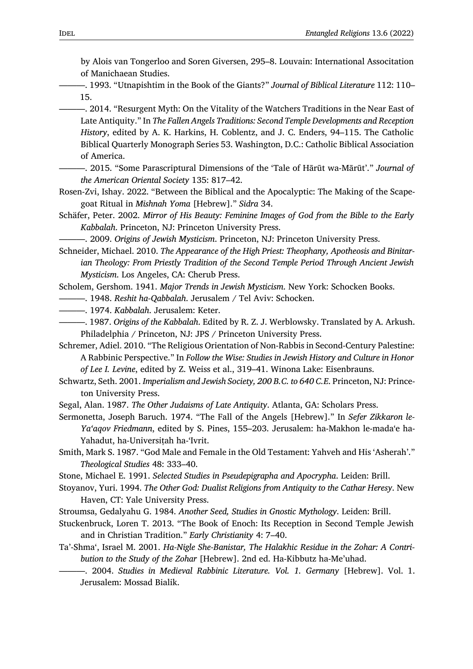by Alois van Tongerloo and Soren Giversen, 295–8. Louvain: International Associtation of Manichaean Studies.

<span id="page-19-3"></span>———. 1993. "Utnapishtim in the Book of the Giants?" *Journal of Biblical Literature* 112: 110– 15.

<span id="page-19-2"></span>———. 2014. "Resurgent Myth: On the Vitality of the Watchers Traditions in the Near East of Late Antiquity." In *The Fallen Angels Traditions: Second Temple Developments and Reception History*, edited by A. K. Harkins, H. Coblentz, and J. C. Enders, 94–115. The Catholic Biblical Quarterly Monograph Series 53. Washington, D.C.: Catholic Biblical Association of America.

- <span id="page-19-0"></span>———. 2015. "Some Parascriptural Dimensions of the 'Tale of Hārūt wa-Mārūt'." *Journal of the American Oriental Society* 135: 817–42.
- <span id="page-19-9"></span>Rosen-Zvi, Ishay. 2022. "Between the Biblical and the Apocalyptic: The Making of the Scapegoat Ritual in *Mishnah Yoma* [Hebrew]." *Sidra* 34.
- <span id="page-19-10"></span>Schäfer, Peter. 2002. *Mirror of His Beauty: Feminine Images of God from the Bible to the Early Kabbalah*. Princeton, NJ: Princeton University Press.

———. 2009. *Origins of Jewish Mysticism*. Princeton, NJ: Princeton University Press.

<span id="page-19-12"></span>Schneider, Michael. 2010. *The Appearance of the High Priest: Theophany, Apotheosis and Binitarian Theology: From Priestly Tradition of the Second Temple Period Through Ancient Jewish Mysticism*. Los Angeles, CA: Cherub Press.

Scholem, Gershom. 1941. *Major Trends in Jewish Mysticism*. New York: Schocken Books.

- <span id="page-19-13"></span>———. 1948. *Reshit ha-Qabbalah*. Jerusalem / Tel Aviv: Schocken.
- <span id="page-19-4"></span>———. 1974. *Kabbalah*. Jerusalem: Keter.
- ———. 1987. *Origins of the Kabbalah*. Edited by R. Z. J. Werblowsky. Translated by A. Arkush. Philadelphia / Princeton, NJ: JPS / Princeton University Press.
- <span id="page-19-8"></span>Schremer, Adiel. 2010. "The Religious Orientation of Non-Rabbis in Second-Century Palestine: A Rabbinic Perspective." In *Follow the Wise: Studies in Jewish History and Culture in Honor of Lee I. Levine*, edited by Z. Weiss et al., 319–41. Winona Lake: Eisenbrauns.
- <span id="page-19-6"></span>Schwartz, Seth. 2001. *Imperialism and Jewish Society, 200 B.C. to 640 C.E*. Princeton, NJ: Princeton University Press.
- Segal, Alan. 1987. *The Other Judaisms of Late Antiquity*. Atlanta, GA: Scholars Press.
- <span id="page-19-7"></span>Sermonetta, Joseph Baruch. 1974. "The Fall of the Angels [Hebrew]." In *Sefer Zikkaron le-Ya'aqov Friedmann*, edited by S. Pines, 155–203. Jerusalem: ha-Makhon le-madaʻe ha-Yahadut, ha-Universitah ha-'Ivrit.

<span id="page-19-11"></span>Smith, Mark S. 1987. "God Male and Female in the Old Testament: Yahveh and His 'Asherah'." *Theological Studies* 48: 333–40.

- Stone, Michael E. 1991. *Selected Studies in Pseudepigrapha and Apocrypha*. Leiden: Brill.
- <span id="page-19-1"></span>Stoyanov, Yuri. 1994. *The Other God: Dualist Religions from Antiquity to the Cathar Heresy*. New Haven, CT: Yale University Press.

Stroumsa, Gedalyahu G. 1984. *Another Seed, Studies in Gnostic Mythology*. Leiden: Brill.

- <span id="page-19-5"></span>Stuckenbruck, Loren T. 2013. "The Book of Enoch: Its Reception in Second Temple Jewish and in Christian Tradition." *Early Christianity* 4: 7–40.
- Ta'-Shma', Israel M. 2001. *Ha-Nigle She-Banistar, The Halakhic Residue in the Zohar: A Contribution to the Study of the Zohar* [Hebrew]. 2nd ed. Ha-Kibbutz ha-Me'uhad.

———. 2004. *Studies in Medieval Rabbinic Literature. Vol. 1. Germany* [Hebrew]. Vol. 1. Jerusalem: Mossad Bialik.